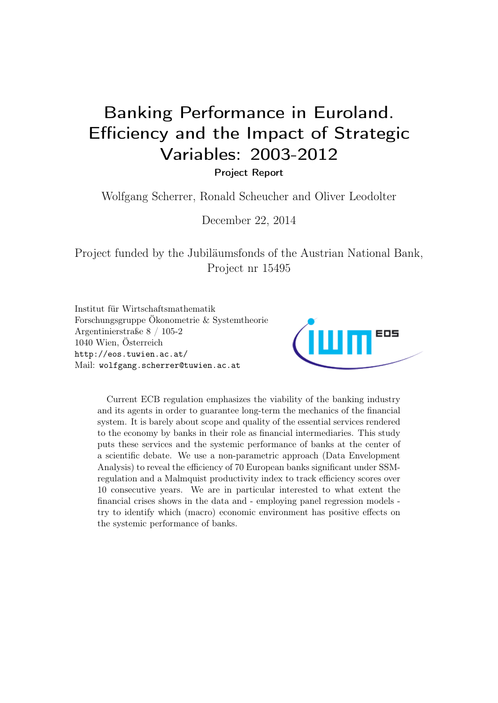# Banking Performance in Euroland. Efficiency and the Impact of Strategic Variables: 2003-2012

Project Report

Wolfgang Scherrer, Ronald Scheucher and Oliver Leodolter

December 22, 2014

Project funded by the Jubiläumsfonds of the Austrian National Bank, Project nr 15495

Institut für Wirtschaftsmathematik Forschungsgruppe Ökonometrie & Systemtheorie Argentinierstraße 8 / 105-2 1040 Wien, Österreich <http://eos.tuwien.ac.at/> Mail: [wolfgang.scherrer@tuwien.ac.at](wolfgang.scherrer@tuwien.ac.at )



Current ECB regulation emphasizes the viability of the banking industry and its agents in order to guarantee long-term the mechanics of the financial system. It is barely about scope and quality of the essential services rendered to the economy by banks in their role as financial intermediaries. This study puts these services and the systemic performance of banks at the center of a scientific debate. We use a non-parametric approach (Data Envelopment Analysis) to reveal the efficiency of 70 European banks significant under SSMregulation and a Malmquist productivity index to track efficiency scores over 10 consecutive years. We are in particular interested to what extent the financial crises shows in the data and - employing panel regression models try to identify which (macro) economic environment has positive effects on the systemic performance of banks.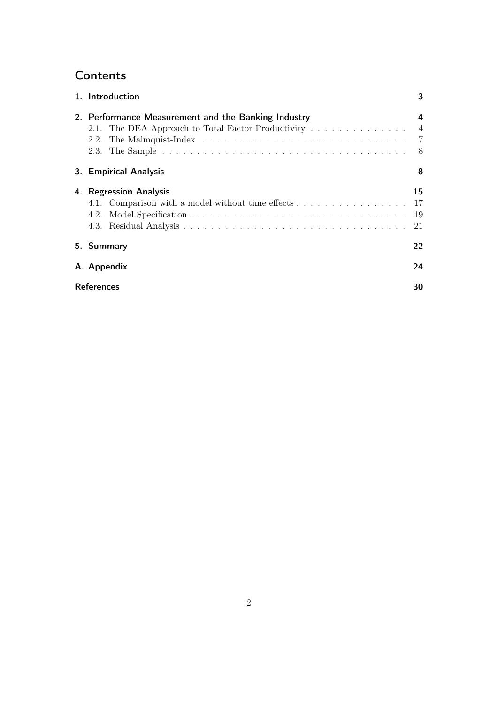# **Contents**

| 1. Introduction                                                                | 3        |
|--------------------------------------------------------------------------------|----------|
| 2. Performance Measurement and the Banking Industry<br>2.1.<br>2.2.            | 4        |
| 3. Empirical Analysis                                                          | 8        |
| 4. Regression Analysis<br>4.1. Comparison with a model without time effects 17 | 15<br>21 |
| 5. Summary                                                                     | 22       |
| A. Appendix                                                                    | 24       |
| <b>References</b>                                                              | 30       |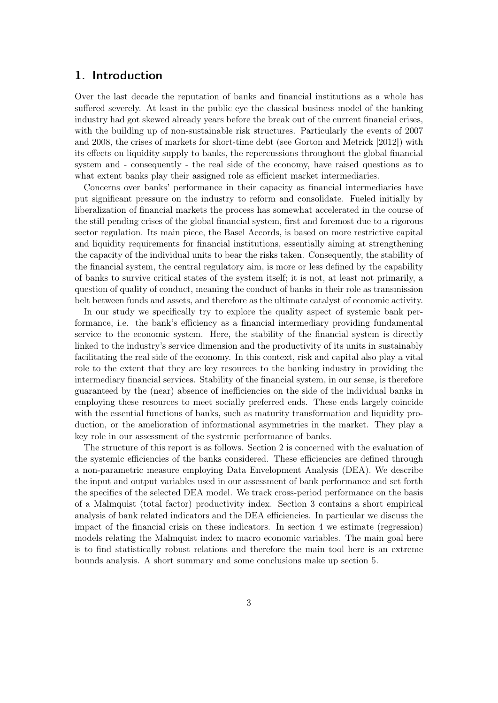## <span id="page-2-0"></span>1. Introduction

Over the last decade the reputation of banks and financial institutions as a whole has suffered severely. At least in the public eye the classical business model of the banking industry had got skewed already years before the break out of the current financial crises, with the building up of non-sustainable risk structures. Particularly the events of 2007 and 2008, the crises of markets for short-time debt (see [Gorton and Metrick](#page-30-0) [\[2012\]](#page-30-0)) with its effects on liquidity supply to banks, the repercussions throughout the global financial system and - consequently - the real side of the economy, have raised questions as to what extent banks play their assigned role as efficient market intermediaries.

Concerns over banks' performance in their capacity as financial intermediaries have put significant pressure on the industry to reform and consolidate. Fueled initially by liberalization of financial markets the process has somewhat accelerated in the course of the still pending crises of the global financial system, first and foremost due to a rigorous sector regulation. Its main piece, the Basel Accords, is based on more restrictive capital and liquidity requirements for financial institutions, essentially aiming at strengthening the capacity of the individual units to bear the risks taken. Consequently, the stability of the financial system, the central regulatory aim, is more or less defined by the capability of banks to survive critical states of the system itself; it is not, at least not primarily, a question of quality of conduct, meaning the conduct of banks in their role as transmission belt between funds and assets, and therefore as the ultimate catalyst of economic activity.

In our study we specifically try to explore the quality aspect of systemic bank performance, i.e. the bank's efficiency as a financial intermediary providing fundamental service to the economic system. Here, the stability of the financial system is directly linked to the industry's service dimension and the productivity of its units in sustainably facilitating the real side of the economy. In this context, risk and capital also play a vital role to the extent that they are key resources to the banking industry in providing the intermediary financial services. Stability of the financial system, in our sense, is therefore guaranteed by the (near) absence of inefficiencies on the side of the individual banks in employing these resources to meet socially preferred ends. These ends largely coincide with the essential functions of banks, such as maturity transformation and liquidity production, or the amelioration of informational asymmetries in the market. They play a key role in our assessment of the systemic performance of banks.

The structure of this report is as follows. Section [2](#page-3-0) is concerned with the evaluation of the systemic efficiencies of the banks considered. These efficiencies are defined through a non-parametric measure employing Data Envelopment Analysis (DEA). We describe the input and output variables used in our assessment of bank performance and set forth the specifics of the selected DEA model. We track cross-period performance on the basis of a Malmquist (total factor) productivity index. Section [3](#page-7-1) contains a short empirical analysis of bank related indicators and the DEA efficiencies. In particular we discuss the impact of the financial crisis on these indicators. In section [4](#page-14-0) we estimate (regression) models relating the Malmquist index to macro economic variables. The main goal here is to find statistically robust relations and therefore the main tool here is an extreme bounds analysis. A short summary and some conclusions make up section [5.](#page-21-0)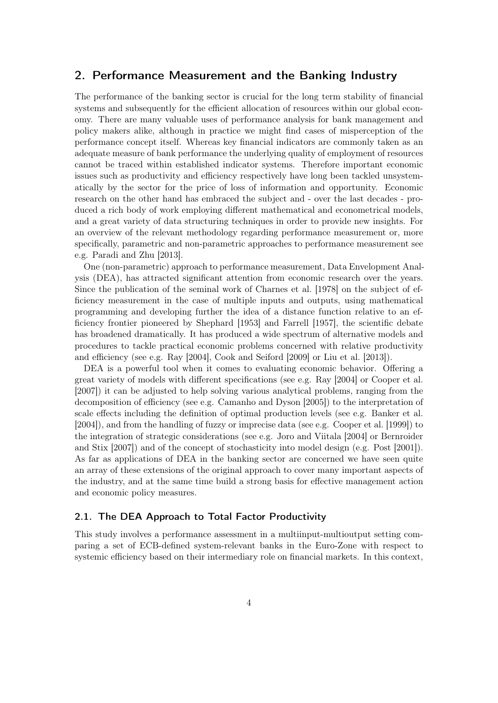## <span id="page-3-0"></span>2. Performance Measurement and the Banking Industry

The performance of the banking sector is crucial for the long term stability of financial systems and subsequently for the efficient allocation of resources within our global economy. There are many valuable uses of performance analysis for bank management and policy makers alike, although in practice we might find cases of misperception of the performance concept itself. Whereas key financial indicators are commonly taken as an adequate measure of bank performance the underlying quality of employment of resources cannot be traced within established indicator systems. Therefore important economic issues such as productivity and efficiency respectively have long been tackled unsystematically by the sector for the price of loss of information and opportunity. Economic research on the other hand has embraced the subject and - over the last decades - produced a rich body of work employing different mathematical and econometrical models, and a great variety of data structuring techniques in order to provide new insights. For an overview of the relevant methodology regarding performance measurement or, more specifically, parametric and non-parametric approaches to performance measurement see e.g. [Paradi and Zhu](#page-30-1) [\[2013\]](#page-30-1).

One (non-parametric) approach to performance measurement, Data Envelopment Analysis (DEA), has attracted significant attention from economic research over the years. Since the publication of the seminal work of [Charnes et al.](#page-29-1) [\[1978\]](#page-29-1) on the subject of efficiency measurement in the case of multiple inputs and outputs, using mathematical programming and developing further the idea of a distance function relative to an efficiency frontier pioneered by [Shephard](#page-30-2) [\[1953\]](#page-30-2) and [Farrell](#page-30-3) [\[1957\]](#page-30-3), the scientific debate has broadened dramatically. It has produced a wide spectrum of alternative models and procedures to tackle practical economic problems concerned with relative productivity and efficiency (see e.g. [Ray](#page-30-4) [\[2004\]](#page-30-4), [Cook and Seiford](#page-29-2) [\[2009\]](#page-29-2) or [Liu et al.](#page-30-5) [\[2013\]](#page-30-5)).

DEA is a powerful tool when it comes to evaluating economic behavior. Offering a great variety of models with different specifications (see e.g. [Ray](#page-30-4) [\[2004\]](#page-30-4) or [Cooper et al.](#page-29-3) [\[2007\]](#page-29-3)) it can be adjusted to help solving various analytical problems, ranging from the decomposition of efficiency (see e.g. [Camanho and Dyson](#page-29-4) [\[2005\]](#page-29-4)) to the interpretation of scale effects including the definition of optimal production levels (see e.g. [Banker et al.](#page-29-5) [\[2004\]](#page-29-5)), and from the handling of fuzzy or imprecise data (see e.g. [Cooper et al.](#page-29-6) [\[1999\]](#page-29-6)) to the integration of strategic considerations (see e.g. [Joro and Viitala](#page-30-6) [\[2004\]](#page-30-6) or [Bernroider](#page-29-7) [and Stix](#page-29-7) [\[2007\]](#page-29-7)) and of the concept of stochasticity into model design (e.g. [Post](#page-30-7) [\[2001\]](#page-30-7)). As far as applications of DEA in the banking sector are concerned we have seen quite an array of these extensions of the original approach to cover many important aspects of the industry, and at the same time build a strong basis for effective management action and economic policy measures.

#### <span id="page-3-1"></span>2.1. The DEA Approach to Total Factor Productivity

This study involves a performance assessment in a multiinput-multioutput setting comparing a set of ECB-defined system-relevant banks in the Euro-Zone with respect to systemic efficiency based on their intermediary role on financial markets. In this context,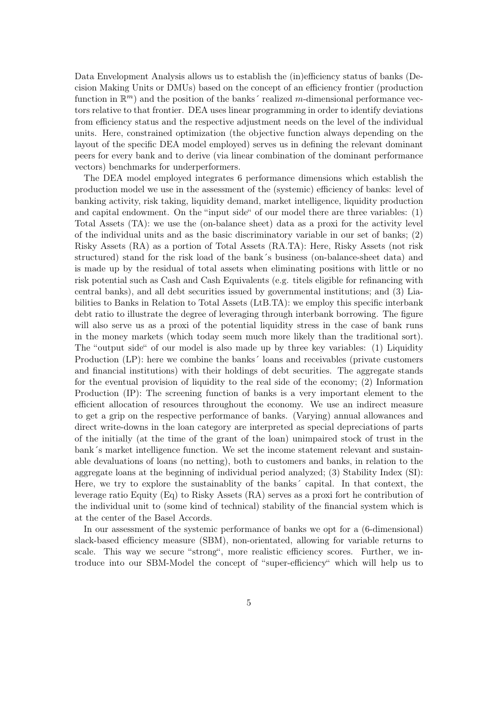Data Envelopment Analysis allows us to establish the (in)efficiency status of banks (Decision Making Units or DMUs) based on the concept of an efficiency frontier (production function in  $\mathbb{R}^m$ ) and the position of the banks' realized m-dimensional performance vectors relative to that frontier. DEA uses linear programming in order to identify deviations from efficiency status and the respective adjustment needs on the level of the individual units. Here, constrained optimization (the objective function always depending on the layout of the specific DEA model employed) serves us in defining the relevant dominant peers for every bank and to derive (via linear combination of the dominant performance vectors) benchmarks for underperformers.

The DEA model employed integrates 6 performance dimensions which establish the production model we use in the assessment of the (systemic) efficiency of banks: level of banking activity, risk taking, liquidity demand, market intelligence, liquidity production and capital endowment. On the "input side" of our model there are three variables: (1) Total Assets (TA): we use the (on-balance sheet) data as a proxi for the activity level of the individual units and as the basic discriminatory variable in our set of banks; (2) Risky Assets (RA) as a portion of Total Assets (RA.TA): Here, Risky Assets (not risk structured) stand for the risk load of the bank´s business (on-balance-sheet data) and is made up by the residual of total assets when eliminating positions with little or no risk potential such as Cash and Cash Equivalents (e.g. titels eligible for refinancing with central banks), and all debt securities issued by governmental institutions; and (3) Liabilities to Banks in Relation to Total Assets (LtB.TA): we employ this specific interbank debt ratio to illustrate the degree of leveraging through interbank borrowing. The figure will also serve us as a proxi of the potential liquidity stress in the case of bank runs in the money markets (which today seem much more likely than the traditional sort). The "output side" of our model is also made up by three key variables: (1) Liquidity Production (LP): here we combine the banks´ loans and receivables (private customers and financial institutions) with their holdings of debt securities. The aggregate stands for the eventual provision of liquidity to the real side of the economy; (2) Information Production (IP): The screening function of banks is a very important element to the efficient allocation of resources throughout the economy. We use an indirect measure to get a grip on the respective performance of banks. (Varying) annual allowances and direct write-downs in the loan category are interpreted as special depreciations of parts of the initially (at the time of the grant of the loan) unimpaired stock of trust in the bank´s market intelligence function. We set the income statement relevant and sustainable devaluations of loans (no netting), both to customers and banks, in relation to the aggregate loans at the beginning of individual period analyzed; (3) Stability Index (SI): Here, we try to explore the sustainablity of the banks´ capital. In that context, the leverage ratio Equity (Eq) to Risky Assets (RA) serves as a proxi fort he contribution of the individual unit to (some kind of technical) stability of the financial system which is at the center of the Basel Accords.

In our assessment of the systemic performance of banks we opt for a (6-dimensional) slack-based efficiency measure (SBM), non-orientated, allowing for variable returns to scale. This way we secure "strong", more realistic efficiency scores. Further, we introduce into our SBM-Model the concept of "super-efficiency" which will help us to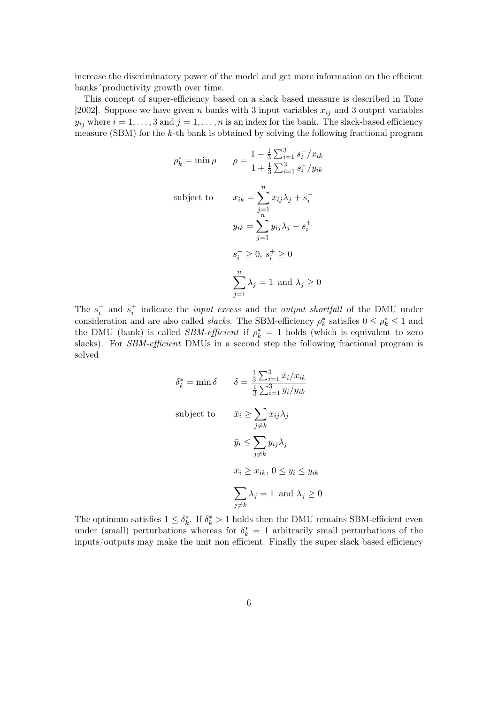increase the discriminatory power of the model and get more information on the efficient banks´productivity growth over time.

This concept of super-efficiency based on a slack based measure is described in [Tone](#page-30-8) [\[2002\]](#page-30-8). Suppose we have given n banks with 3 input variables  $x_{ij}$  and 3 output variables  $y_{ij}$  where  $i = 1, \ldots, 3$  and  $j = 1, \ldots, n$  is an index for the bank. The slack-based efficiency measure (SBM) for the k-th bank is obtained by solving the following fractional program

$$
\rho_k^* = \min \rho \qquad \rho = \frac{1 - \frac{1}{3} \sum_{i=1}^3 s_i^- / x_{ik}}{1 + \frac{1}{3} \sum_{i=1}^3 s_i^+ / y_{ik}}
$$
  
subject to 
$$
x_{ik} = \sum_{j=1}^n x_{ij} \lambda_j + s_i^-
$$

$$
y_{ik} = \sum_{j=1}^n y_{ij} \lambda_j - s_i^+
$$

$$
s_i^- \ge 0, s_i^+ \ge 0
$$

$$
\sum_{j=1}^n \lambda_j = 1 \text{ and } \lambda_j \ge 0
$$

The  $s_i^-$  and  $s_i^+$  indicate the *input excess* and the *output shortfall* of the DMU under consideration and are also called *slacks*. The SBM-efficiency  $\rho_k^*$  satisfies  $0 \le \rho_k^* \le 1$  and the DMU (bank) is called *SBM-efficient* if  $\rho_k^* = 1$  holds (which is equivalent to zero slacks). For SBM-efficient DMUs in a second step the following fractional program is solved

$$
\delta_k^* = \min \delta \qquad \delta = \frac{\frac{1}{3} \sum_{i=1}^3 \bar{x}_i / x_{ik}}{\frac{1}{3} \sum_{i=1}^3 \bar{y}_i / y_{ik}}
$$
  
subject to 
$$
\bar{x}_i \ge \sum_{j \neq k} x_{ij} \lambda_j
$$

$$
\bar{y}_i \le \sum_{j \neq k} y_{ij} \lambda_j
$$

$$
\bar{x}_i \ge x_{ik}, 0 \le \bar{y}_i \le y_{ik}
$$

$$
\sum_{j \neq k} \lambda_j = 1 \text{ and } \lambda_j \ge 0
$$

The optimum satisfies  $1 \leq \delta_k^*$ . If  $\delta_k^* > 1$  holds then the DMU remains SBM-efficient even under (small) perturbations whereas for  $\delta_k^* = 1$  arbitrarily small perturbations of the inputs/outputs may make the unit non efficient. Finally the super slack based efficiency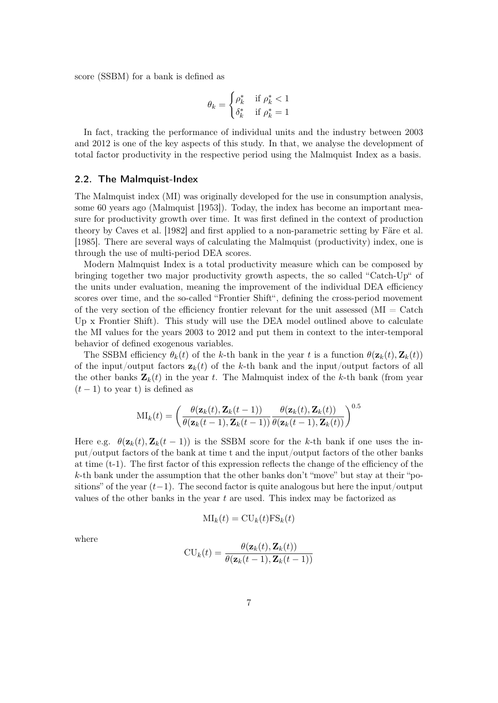score (SSBM) for a bank is defined as

$$
\theta_k = \begin{cases} \rho_k^* & \text{if } \rho_k^* < 1 \\ \delta_k^* & \text{if } \rho_k^* = 1 \end{cases}
$$

In fact, tracking the performance of individual units and the industry between 2003 and 2012 is one of the key aspects of this study. In that, we analyse the development of total factor productivity in the respective period using the Malmquist Index as a basis.

#### <span id="page-6-0"></span>2.2. The Malmquist-Index

The Malmquist index (MI) was originally developed for the use in consumption analysis, some 60 years ago [\(Malmquist](#page-30-9) [\[1953\]](#page-30-9)). Today, the index has become an important measure for productivity growth over time. It was first defined in the context of production theory by [Caves et al.](#page-29-8) [\[1982\]](#page-29-8) and first applied to a non-parametric setting by [Färe et al.](#page-30-10) [\[1985\]](#page-30-10). There are several ways of calculating the Malmquist (productivity) index, one is through the use of multi-period DEA scores.

Modern Malmquist Index is a total productivity measure which can be composed by bringing together two major productivity growth aspects, the so called "Catch-Up" of the units under evaluation, meaning the improvement of the individual DEA efficiency scores over time, and the so-called "Frontier Shift", defining the cross-period movement of the very section of the efficiency frontier relevant for the unit assessed  $(MI = \text{Catch})$ Up x Frontier Shift). This study will use the DEA model outlined above to calculate the MI values for the years 2003 to 2012 and put them in context to the inter-temporal behavior of defined exogenous variables.

The SSBM efficiency  $\theta_k(t)$  of the k-th bank in the year t is a function  $\theta(\mathbf{z}_k(t), \mathbf{Z}_k(t))$ of the input/output factors  $z_k(t)$  of the k-th bank and the input/output factors of all the other banks  $\mathbf{Z}_k(t)$  in the year t. The Malmquist index of the k-th bank (from year  $(t-1)$  to year t) is defined as

$$
\mathrm{MI}_k(t) = \left(\frac{\theta(\mathbf{z}_k(t), \mathbf{Z}_k(t-1))}{\theta(\mathbf{z}_k(t-1), \mathbf{Z}_k(t-1))} \frac{\theta(\mathbf{z}_k(t), \mathbf{Z}_k(t))}{\theta(\mathbf{z}_k(t-1), \mathbf{Z}_k(t))}\right)^{0.5}
$$

Here e.g.  $\theta(\mathbf{z}_k(t), \mathbf{Z}_k(t-1))$  is the SSBM score for the k-th bank if one uses the input/output factors of the bank at time t and the input/output factors of the other banks at time (t-1). The first factor of this expression reflects the change of the efficiency of the k-th bank under the assumption that the other banks don't "move" but stay at their "positions" of the year  $(t-1)$ . The second factor is quite analogous but here the input/output values of the other banks in the year t are used. This index may be factorized as

$$
MI_k(t) = CU_k(t)FS_k(t)
$$

where

$$
CU_k(t) = \frac{\theta(\mathbf{z}_k(t), \mathbf{Z}_k(t))}{\theta(\mathbf{z}_k(t-1), \mathbf{Z}_k(t-1))}
$$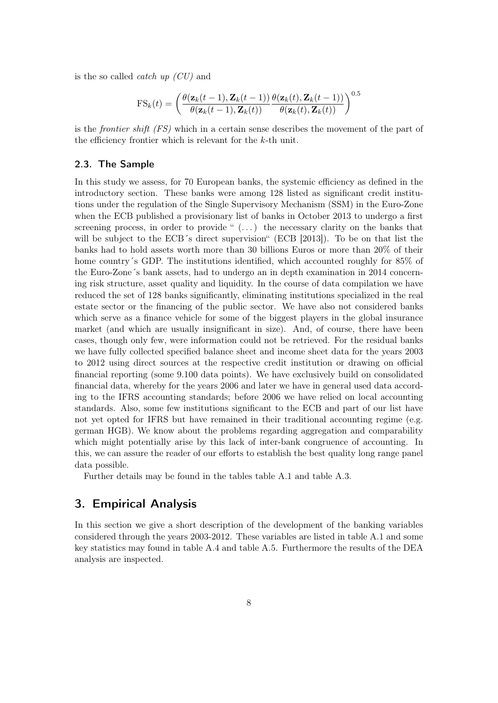is the so called *catch up*  $(CU)$  and

$$
FS_k(t) = \left(\frac{\theta(\mathbf{z}_k(t-1), \mathbf{Z}_k(t-1))}{\theta(\mathbf{z}_k(t-1), \mathbf{Z}_k(t))} \frac{\theta(\mathbf{z}_k(t), \mathbf{Z}_k(t-1))}{\theta(\mathbf{z}_k(t), \mathbf{Z}_k(t))}\right)^{0.5}
$$

is the frontier shift (FS) which in a certain sense describes the movement of the part of the efficiency frontier which is relevant for the k-th unit.

#### <span id="page-7-0"></span>2.3. The Sample

In this study we assess, for 70 European banks, the systemic efficiency as defined in the introductory section. These banks were among 128 listed as significant credit institutions under the regulation of the Single Supervisory Mechanism (SSM) in the Euro-Zone when the ECB published a provisionary list of banks in October 2013 to undergo a first screening process, in order to provide " $(\ldots)$  the necessary clarity on the banks that will be subject to the ECB's direct supervision" [\(ECB](#page-29-9) [\[2013\]](#page-29-9)). To be on that list the banks had to hold assets worth more than 30 billions Euros or more than 20% of their home country's GDP. The institutions identified, which accounted roughly for  $85\%$  of the Euro-Zone´s bank assets, had to undergo an in depth examination in 2014 concerning risk structure, asset quality and liquidity. In the course of data compilation we have reduced the set of 128 banks significantly, eliminating institutions specialized in the real estate sector or the financing of the public sector. We have also not considered banks which serve as a finance vehicle for some of the biggest players in the global insurance market (and which are usually insignificant in size). And, of course, there have been cases, though only few, were information could not be retrieved. For the residual banks we have fully collected specified balance sheet and income sheet data for the years 2003 to 2012 using direct sources at the respective credit institution or drawing on official financial reporting (some 9.100 data points). We have exclusively build on consolidated financial data, whereby for the years 2006 and later we have in general used data according to the IFRS accounting standards; before 2006 we have relied on local accounting standards. Also, some few institutions significant to the ECB and part of our list have not yet opted for IFRS but have remained in their traditional accounting regime (e.g. german HGB). We know about the problems regarding aggregation and comparability which might potentially arise by this lack of inter-bank congruence of accounting. In this, we can assure the reader of our efforts to establish the best quality long range panel data possible.

Further details may be found in the tables table [A.1](#page-23-1) and table [A.3.](#page-26-0)

## <span id="page-7-1"></span>3. Empirical Analysis

In this section we give a short description of the development of the banking variables considered through the years 2003-2012. These variables are listed in table [A.1](#page-23-1) and some key statistics may found in table [A.4](#page-27-0) and table [A.5.](#page-28-0) Furthermore the results of the DEA analysis are inspected.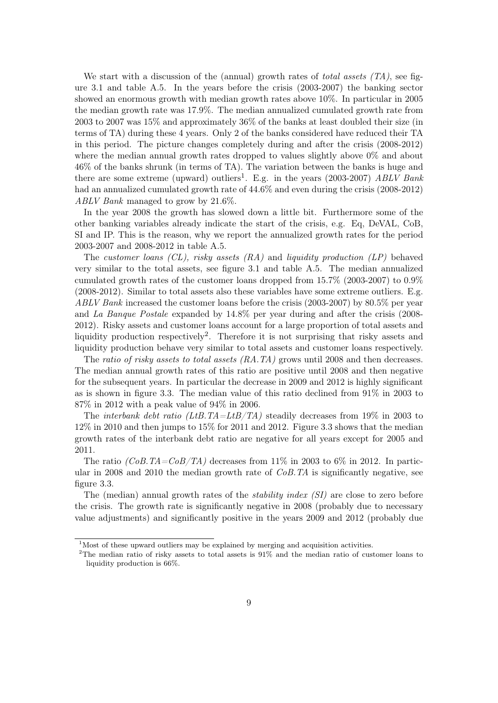We start with a discussion of the (annual) growth rates of *total assets*  $(T_A)$ , see figure [3.1](#page-9-0) and table [A.5.](#page-28-0) In the years before the crisis (2003-2007) the banking sector showed an enormous growth with median growth rates above 10%. In particular in 2005 the median growth rate was 17.9%. The median annualized cumulated growth rate from 2003 to 2007 was 15% and approximately 36% of the banks at least doubled their size (in terms of TA) during these 4 years. Only 2 of the banks considered have reduced their TA in this period. The picture changes completely during and after the crisis (2008-2012) where the median annual growth rates dropped to values slightly above  $0\%$  and about 46% of the banks shrunk (in terms of TA). The variation between the banks is huge and there are some extreme (upward) outliers<sup>[1](#page-8-0)</sup>. E.g. in the years (2003-2007)  $ABLV$  Bank had an annualized cumulated growth rate of  $44.6\%$  and even during the crisis (2008-2012) ABLV Bank managed to grow by 21.6%.

In the year 2008 the growth has slowed down a little bit. Furthermore some of the other banking variables already indicate the start of the crisis, e.g. Eq, DeVAL, CoB, SI and IP. This is the reason, why we report the annualized growth rates for the period 2003-2007 and 2008-2012 in table [A.5.](#page-28-0)

The customer loans  $(CL)$ , risky assets  $(RA)$  and liquidity production  $(LP)$  behaved very similar to the total assets, see figure [3.1](#page-9-0) and table [A.5.](#page-28-0) The median annualized cumulated growth rates of the customer loans dropped from 15.7% (2003-2007) to 0.9% (2008-2012). Similar to total assets also these variables have some extreme outliers. E.g. ABLV Bank increased the customer loans before the crisis (2003-2007) by 80.5% per year and La Banque Postale expanded by 14.8% per year during and after the crisis (2008- 2012). Risky assets and customer loans account for a large proportion of total assets and liquidity production respectively<sup>[2](#page-8-1)</sup>. Therefore it is not surprising that risky assets and liquidity production behave very similar to total assets and customer loans respectively.

The ratio of risky assets to total assets  $(RA, TA)$  grows until 2008 and then decreases. The median annual growth rates of this ratio are positive until 2008 and then negative for the subsequent years. In particular the decrease in 2009 and 2012 is highly significant as is shown in figure [3.3.](#page-11-0) The median value of this ratio declined from 91% in 2003 to 87% in 2012 with a peak value of 94% in 2006.

The *interbank debt ratio (LtB.TA=LtB/TA)* steadily decreases from 19% in 2003 to 12% in 2010 and then jumps to 15% for 2011 and 2012. Figure [3.3](#page-11-0) shows that the median growth rates of the interbank debt ratio are negative for all years except for 2005 and 2011.

The ratio  $(CoB.TA=CoB/TA)$  decreases from 11% in 2003 to 6% in 2012. In particular in 2008 and 2010 the median growth rate of  $CoB$ . TA is significantly negative, see figure [3.3.](#page-11-0)

The (median) annual growth rates of the *stability index (SI)* are close to zero before the crisis. The growth rate is significantly negative in 2008 (probably due to necessary value adjustments) and significantly positive in the years 2009 and 2012 (probably due

<span id="page-8-0"></span><sup>&</sup>lt;sup>1</sup>Most of these upward outliers may be explained by merging and acquisition activities.

<span id="page-8-1"></span><sup>&</sup>lt;sup>2</sup>The median ratio of risky assets to total assets is 91% and the median ratio of customer loans to liquidity production is 66%.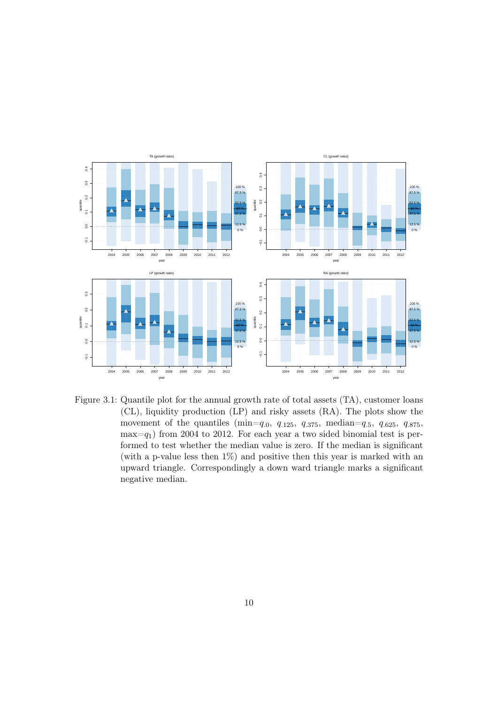

<span id="page-9-0"></span>Figure 3.1: Quantile plot for the annual growth rate of total assets (TA), customer loans (CL), liquidity production (LP) and risky assets (RA). The plots show the movement of the quantiles (min=q.0, q.125, q.375, median=q.5, q.625, q.875,  $max=q_1$ ) from 2004 to 2012. For each year a two sided binomial test is performed to test whether the median value is zero. If the median is significant (with a p-value less then 1%) and positive then this year is marked with an upward triangle. Correspondingly a down ward triangle marks a significant negative median.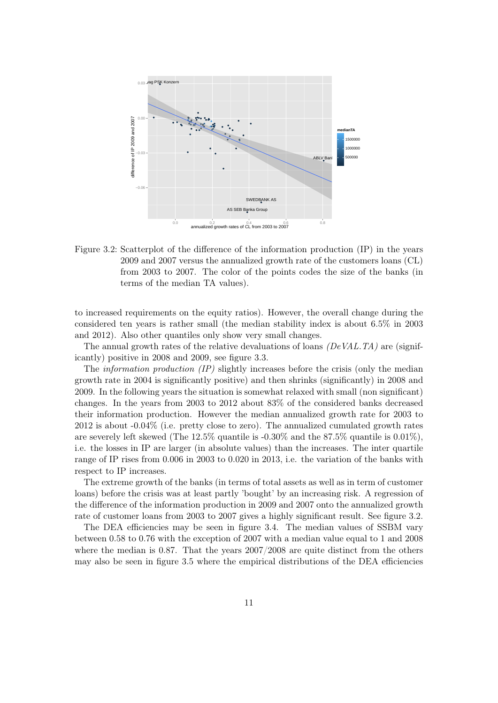

<span id="page-10-0"></span>Figure 3.2: Scatterplot of the difference of the information production (IP) in the years 2009 and 2007 versus the annualized growth rate of the customers loans (CL) from 2003 to 2007. The color of the points codes the size of the banks (in terms of the median TA values).

to increased requirements on the equity ratios). However, the overall change during the considered ten years is rather small (the median stability index is about 6.5% in 2003 and 2012). Also other quantiles only show very small changes.

The annual growth rates of the relative devaluations of loans  $(DeVAL,TA)$  are (significantly) positive in 2008 and 2009, see figure [3.3.](#page-11-0)

The *information production (IP)* slightly increases before the crisis (only the median growth rate in 2004 is significantly positive) and then shrinks (significantly) in 2008 and 2009. In the following years the situation is somewhat relaxed with small (non significant) changes. In the years from 2003 to 2012 about 83% of the considered banks decreased their information production. However the median annualized growth rate for 2003 to 2012 is about -0.04% (i.e. pretty close to zero). The annualized cumulated growth rates are severely left skewed (The 12.5% quantile is -0.30% and the 87.5% quantile is 0.01%), i.e. the losses in IP are larger (in absolute values) than the increases. The inter quartile range of IP rises from 0.006 in 2003 to 0.020 in 2013, i.e. the variation of the banks with respect to IP increases.

The extreme growth of the banks (in terms of total assets as well as in term of customer loans) before the crisis was at least partly 'bought' by an increasing risk. A regression of the difference of the information production in 2009 and 2007 onto the annualized growth rate of customer loans from 2003 to 2007 gives a highly significant result. See figure [3.2.](#page-10-0)

The DEA efficiencies may be seen in figure [3.4.](#page-12-0) The median values of SSBM vary between 0.58 to 0.76 with the exception of 2007 with a median value equal to 1 and 2008 where the median is 0.87. That the years 2007/2008 are quite distinct from the others may also be seen in figure [3.5](#page-13-0) where the empirical distributions of the DEA efficiencies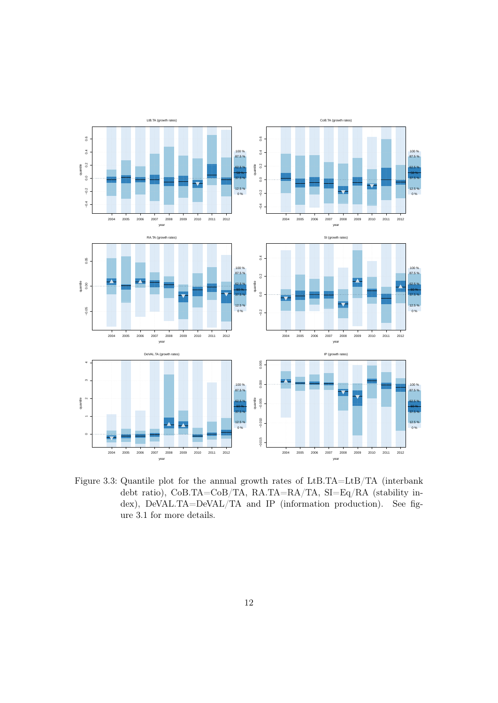

<span id="page-11-0"></span>Figure 3.3: Quantile plot for the annual growth rates of LtB.TA=LtB/TA (interbank debt ratio), CoB.TA=CoB/TA, RA.TA=RA/TA, SI=Eq/RA (stability index), DeVAL.TA=DeVAL/TA and IP (information production). See figure [3.1](#page-9-0) for more details.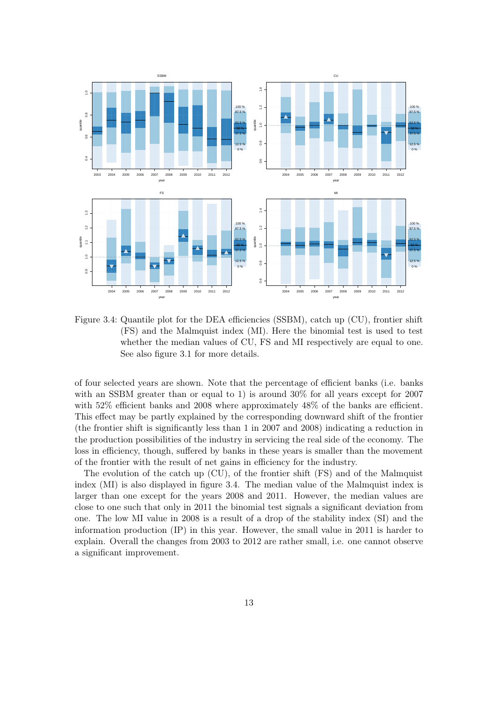

<span id="page-12-0"></span>Figure 3.4: Quantile plot for the DEA efficiencies (SSBM), catch up (CU), frontier shift (FS) and the Malmquist index (MI). Here the binomial test is used to test whether the median values of CU, FS and MI respectively are equal to one. See also figure [3.1](#page-9-0) for more details.

of four selected years are shown. Note that the percentage of efficient banks (i.e. banks with an SSBM greater than or equal to 1) is around 30% for all years except for 2007 with 52% efficient banks and 2008 where approximately 48% of the banks are efficient. This effect may be partly explained by the corresponding downward shift of the frontier (the frontier shift is significantly less than 1 in 2007 and 2008) indicating a reduction in the production possibilities of the industry in servicing the real side of the economy. The loss in efficiency, though, suffered by banks in these years is smaller than the movement of the frontier with the result of net gains in efficiency for the industry.

The evolution of the catch up (CU), of the frontier shift (FS) and of the Malmquist index (MI) is also displayed in figure [3.4.](#page-12-0) The median value of the Malmquist index is larger than one except for the years 2008 and 2011. However, the median values are close to one such that only in 2011 the binomial test signals a significant deviation from one. The low MI value in 2008 is a result of a drop of the stability index (SI) and the information production (IP) in this year. However, the small value in 2011 is harder to explain. Overall the changes from 2003 to 2012 are rather small, i.e. one cannot observe a significant improvement.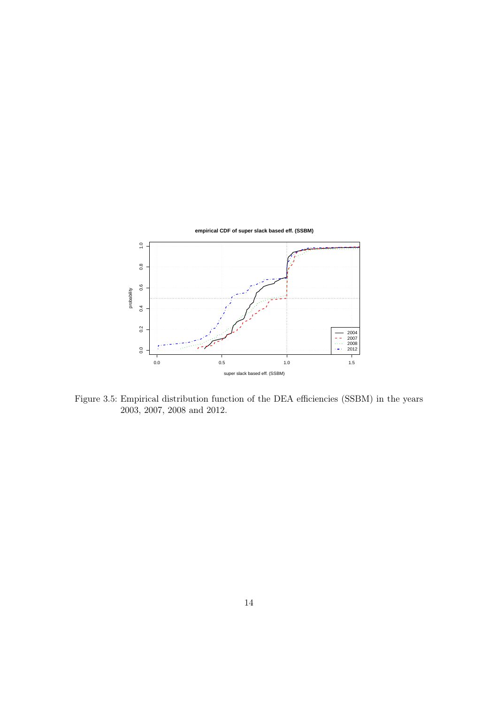

<span id="page-13-0"></span>Figure 3.5: Empirical distribution function of the DEA efficiencies (SSBM) in the years 2003, 2007, 2008 and 2012.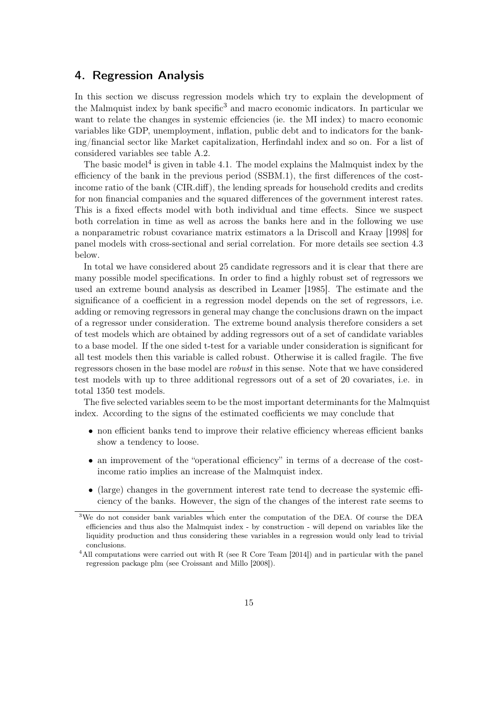## <span id="page-14-0"></span>4. Regression Analysis

In this section we discuss regression models which try to explain the development of the Malmquist index by bank specific<sup>[3](#page-14-1)</sup> and macro economic indicators. In particular we want to relate the changes in systemic effciencies (ie. the MI index) to macro economic variables like GDP, unemployment, inflation, public debt and to indicators for the banking/financial sector like Market capitalization, Herfindahl index and so on. For a list of considered variables see table [A.2.](#page-24-0)

The basic model<sup>[4](#page-14-2)</sup> is given in table [4.1.](#page-15-0) The model explains the Malmquist index by the efficiency of the bank in the previous period (SSBM.1), the first differences of the costincome ratio of the bank (CIR.diff), the lending spreads for household credits and credits for non financial companies and the squared differences of the government interest rates. This is a fixed effects model with both individual and time effects. Since we suspect both correlation in time as well as across the banks here and in the following we use a nonparametric robust covariance matrix estimators a la [Driscoll and Kraay](#page-29-10) [\[1998\]](#page-29-10) for panel models with cross-sectional and serial correlation. For more details see section [4.3](#page-20-0) below.

In total we have considered about 25 candidate regressors and it is clear that there are many possible model specifications. In order to find a highly robust set of regressors we used an extreme bound analysis as described in [Leamer](#page-30-11) [\[1985\]](#page-30-11). The estimate and the significance of a coefficient in a regression model depends on the set of regressors, i.e. adding or removing regressors in general may change the conclusions drawn on the impact of a regressor under consideration. The extreme bound analysis therefore considers a set of test models which are obtained by adding regressors out of a set of candidate variables to a base model. If the one sided t-test for a variable under consideration is significant for all test models then this variable is called robust. Otherwise it is called fragile. The five regressors chosen in the base model are robust in this sense. Note that we have considered test models with up to three additional regressors out of a set of 20 covariates, i.e. in total 1350 test models.

The five selected variables seem to be the most important determinants for the Malmquist index. According to the signs of the estimated coefficients we may conclude that

- non efficient banks tend to improve their relative efficiency whereas efficient banks show a tendency to loose.
- an improvement of the "operational efficiency" in terms of a decrease of the costincome ratio implies an increase of the Malmquist index.
- (large) changes in the government interest rate tend to decrease the systemic efficiency of the banks. However, the sign of the changes of the interest rate seems to

<span id="page-14-1"></span><sup>3</sup>We do not consider bank variables which enter the computation of the DEA. Of course the DEA efficiencies and thus also the Malmquist index - by construction - will depend on variables like the liquidity production and thus considering these variables in a regression would only lead to trivial conclusions.

<span id="page-14-2"></span><sup>&</sup>lt;sup>4</sup>All computations were carried out with R (see [R Core Team](#page-30-12) [\[2014\]](#page-30-12)) and in particular with the panel regression package plm (see [Croissant and Millo](#page-29-11) [\[2008\]](#page-29-11)).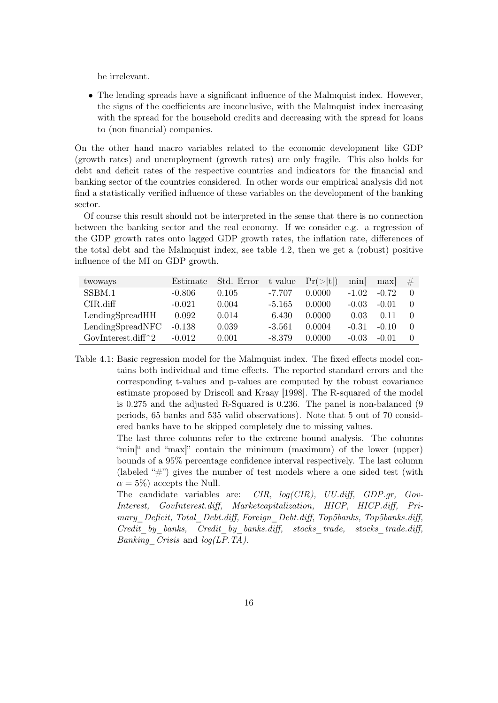be irrelevant.

• The lending spreads have a significant influence of the Malmquist index. However, the signs of the coefficients are inconclusive, with the Malmquist index increasing with the spread for the household credits and decreasing with the spread for loans to (non financial) companies.

On the other hand macro variables related to the economic development like GDP (growth rates) and unemployment (growth rates) are only fragile. This also holds for debt and deficit rates of the respective countries and indicators for the financial and banking sector of the countries considered. In other words our empirical analysis did not find a statistically verified influence of these variables on the development of the banking sector.

Of course this result should not be interpreted in the sense that there is no connection between the banking sector and the real economy. If we consider e.g. a regression of the GDP growth rates onto lagged GDP growth rates, the inflation rate, differences of the total debt and the Malmquist index, see table [4.2,](#page-16-1) then we get a (robust) positive influence of the MI on GDP growth.

| twoways                                          | Estimate | Std. Error | t value  | Pr(> t ) | min     | max     | # |
|--------------------------------------------------|----------|------------|----------|----------|---------|---------|---|
| SSBM.1                                           | $-0.806$ | 0.105      | $-7.707$ | 0.0000   | $-1.02$ | $-0.72$ |   |
| $CIR$ .diff                                      | $-0.021$ | 0.004      | $-5.165$ | 0.0000   | $-0.03$ | $-0.01$ |   |
| LendingSpreadHH                                  | 0.092    | 0.014      | 6.430    | 0.0000   | 0.03    | 0.11    |   |
| LendingSpeedNFC                                  | $-0.138$ | 0.039      | $-3.561$ | 0.0004   | $-0.31$ | $-0.10$ |   |
| GovInterest.diff <sup><math>\hat{}2</math></sup> | $-0.012$ | 0.001      | $-8.379$ | 0.0000   | $-0.03$ | $-0.01$ |   |

<span id="page-15-0"></span>Table 4.1: Basic regression model for the Malmquist index. The fixed effects model contains both individual and time effects. The reported standard errors and the corresponding t-values and p-values are computed by the robust covariance estimate proposed by [Driscoll and Kraay](#page-29-10) [\[1998\]](#page-29-10). The R-squared of the model is 0.275 and the adjusted R-Squared is 0.236. The panel is non-balanced (9 periods, 65 banks and 535 valid observations). Note that 5 out of 70 considered banks have to be skipped completely due to missing values.

> The last three columns refer to the extreme bound analysis. The columns "min<sup>"</sup> and "max" contain the minimum (maximum) of the lower (upper) bounds of a 95% percentage confidence interval respectively. The last column (labeled "#") gives the number of test models where a one sided test (with  $\alpha = 5\%$ ) accepts the Null.

> The candidate variables are: CIR, log(CIR), UU.diff, GDP.gr, Gov-Interest, GovInterest.diff, Marketcapitalization, HICP, HICP.diff, Primary Deficit, Total Debt.diff, Foreign Debt.diff, Top5banks, Top5banks.diff, Credit by banks, Credit by banks.diff, stocks trade, stocks trade.diff, *Banking Crisis* and  $log(LP.TA)$ .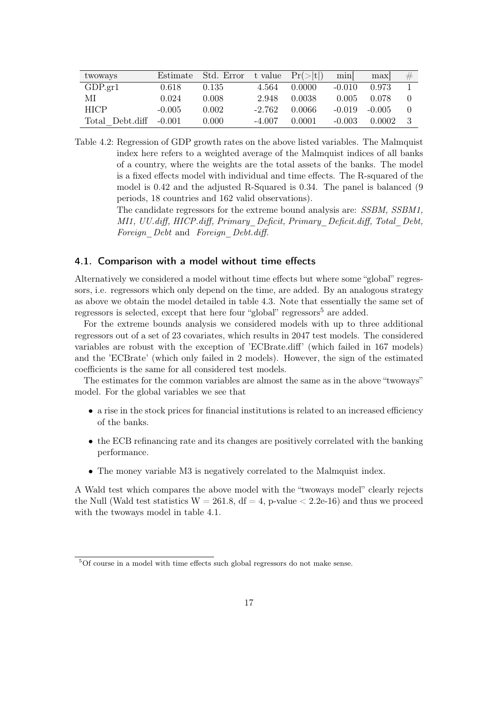| twoways                | Estimate | Std. Error |          | t value $Pr(> t )$ | min      | max      | # |
|------------------------|----------|------------|----------|--------------------|----------|----------|---|
| GDP.gr1                | 0.618    | 0.135      | 4.564    | 0.0000             | $-0.010$ | 0.973    |   |
| МI                     | 0.024    | 0.008      | 2.948    | 0.0038             | 0.005    | 0.078    |   |
| <b>HICP</b>            | $-0.005$ | 0.002      | $-2.762$ | 0.0066             | $-0.019$ | $-0.005$ |   |
| Total Debt.diff -0.001 |          | 0.000      | $-4.007$ | 0.0001             | $-0.003$ | 0.0002   |   |

<span id="page-16-1"></span>Table 4.2: Regression of GDP growth rates on the above listed variables. The Malmquist index here refers to a weighted average of the Malmquist indices of all banks of a country, where the weights are the total assets of the banks. The model is a fixed effects model with individual and time effects. The R-squared of the model is 0.42 and the adjusted R-Squared is 0.34. The panel is balanced (9 periods, 18 countries and 162 valid observations).

> The candidate regressors for the extreme bound analysis are: SSBM, SSBM1, MI1, UU.diff, HICP.diff, Primary\_Deficit, Primary\_Deficit.diff, Total\_Debt, Foreign Debt and Foreign Debt.diff.

### <span id="page-16-0"></span>4.1. Comparison with a model without time effects

Alternatively we considered a model without time effects but where some "global" regressors, i.e. regressors which only depend on the time, are added. By an analogous strategy as above we obtain the model detailed in table [4.3.](#page-17-0) Note that essentially the same set of regressors is selected, except that here four "global" regressors<sup>[5](#page-16-2)</sup> are added.

For the extreme bounds analysis we considered models with up to three additional regressors out of a set of 23 covariates, which results in 2047 test models. The considered variables are robust with the exception of 'ECBrate.diff' (which failed in 167 models) and the 'ECBrate' (which only failed in 2 models). However, the sign of the estimated coefficients is the same for all considered test models.

The estimates for the common variables are almost the same as in the above "twoways" model. For the global variables we see that

- a rise in the stock prices for financial institutions is related to an increased efficiency of the banks.
- the ECB refinancing rate and its changes are positively correlated with the banking performance.
- The money variable M3 is negatively correlated to the Malmquist index.

A Wald test which compares the above model with the "twoways model" clearly rejects the Null (Wald test statistics  $W = 261.8$ ,  $df = 4$ , p-value  $\lt 2.2e-16$ ) and thus we proceed with the twoways model in table [4.1.](#page-15-0)

<span id="page-16-2"></span><sup>&</sup>lt;sup>5</sup>Of course in a model with time effects such global regressors do not make sense.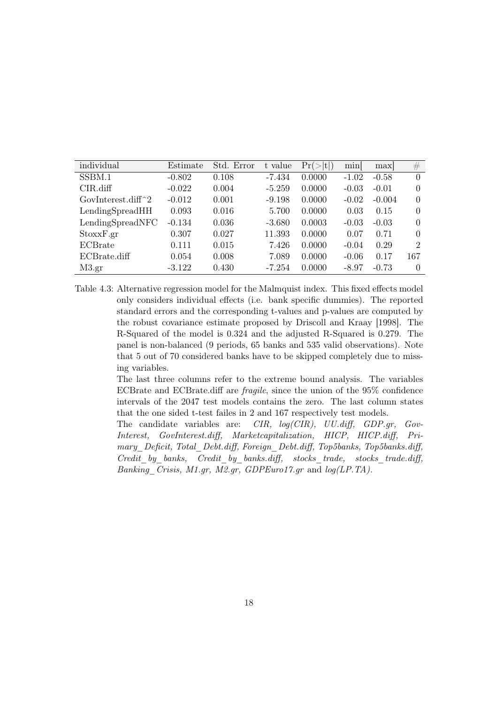| individual                                       | Estimate | Std. Error | t value  | Pr(> t ) | min[    | max      | #        |
|--------------------------------------------------|----------|------------|----------|----------|---------|----------|----------|
| SSBM.1                                           | $-0.802$ | 0.108      | $-7.434$ | 0.0000   | $-1.02$ | $-0.58$  | $\Omega$ |
| $CIR$ .diff                                      | $-0.022$ | 0.004      | $-5.259$ | 0.0000   | $-0.03$ | $-0.01$  | 0        |
| GovInterest.diff <sup><math>\hat{}2</math></sup> | $-0.012$ | 0.001      | $-9.198$ | 0.0000   | $-0.02$ | $-0.004$ | $\Omega$ |
| LendingSpreadHH                                  | 0.093    | 0.016      | 5.700    | 0.0000   | 0.03    | 0.15     | $\Omega$ |
| LendingSpreadNFC                                 | $-0.134$ | 0.036      | $-3.680$ | 0.0003   | $-0.03$ | $-0.03$  | $\Omega$ |
| StoxxF.gr                                        | 0.307    | 0.027      | 11.393   | 0.0000   | 0.07    | 0.71     | 0        |
| ECBrate                                          | 0.111    | 0.015      | 7.426    | 0.0000   | $-0.04$ | 0.29     | 2        |
| ECBrate.diff                                     | 0.054    | 0.008      | 7.089    | 0.0000   | $-0.06$ | 0.17     | 167      |
| M3.gr                                            | $-3.122$ | 0.430      | -7.254   | 0.0000   | $-8.97$ | $-0.73$  | $\Omega$ |

<span id="page-17-0"></span>Table 4.3: Alternative regression model for the Malmquist index. This fixed effects model only considers individual effects (i.e. bank specific dummies). The reported standard errors and the corresponding t-values and p-values are computed by the robust covariance estimate proposed by [Driscoll and Kraay](#page-29-10) [\[1998\]](#page-29-10). The R-Squared of the model is 0.324 and the adjusted R-Squared is 0.279. The panel is non-balanced (9 periods, 65 banks and 535 valid observations). Note that 5 out of 70 considered banks have to be skipped completely due to missing variables.

> The last three columns refer to the extreme bound analysis. The variables ECBrate and ECBrate.diff are fragile, since the union of the 95% confidence intervals of the 2047 test models contains the zero. The last column states that the one sided t-test failes in 2 and 167 respectively test models.

> The candidate variables are: CIR, log(CIR), UU.diff, GDP.gr, Gov-Interest, GovInterest.diff, Marketcapitalization, HICP, HICP.diff, Primary Deficit, Total Debt.diff, Foreign Debt.diff, Top5banks, Top5banks.diff, Credit by banks, Credit by banks.diff, stocks trade, stocks trade.diff, Banking Crisis, M1.gr, M2.gr, GDPEuro17.gr and log(LP.TA).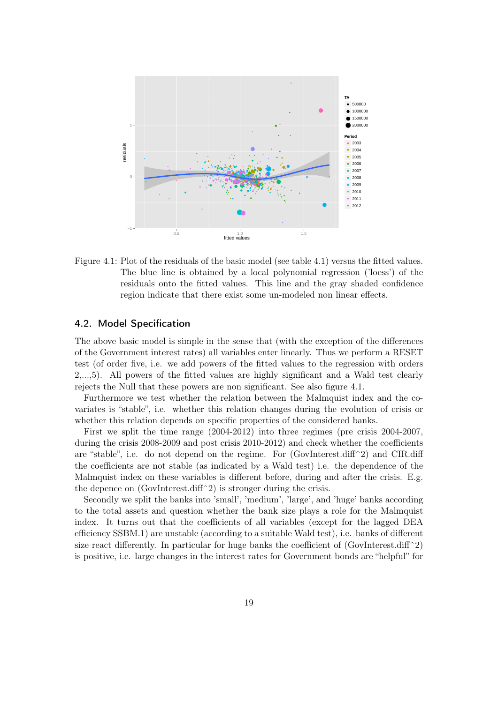

<span id="page-18-1"></span>Figure 4.1: Plot of the residuals of the basic model (see table [4.1\)](#page-15-0) versus the fitted values. The blue line is obtained by a local polynomial regression ('loess') of the residuals onto the fitted values. This line and the gray shaded confidence region indicate that there exist some un-modeled non linear effects.

#### <span id="page-18-0"></span>4.2. Model Specification

The above basic model is simple in the sense that (with the exception of the differences of the Government interest rates) all variables enter linearly. Thus we perform a RESET test (of order five, i.e. we add powers of the fitted values to the regression with orders 2,...,5). All powers of the fitted values are highly significant and a Wald test clearly rejects the Null that these powers are non significant. See also figure [4.1.](#page-18-1)

Furthermore we test whether the relation between the Malmquist index and the covariates is "stable", i.e. whether this relation changes during the evolution of crisis or whether this relation depends on specific properties of the considered banks.

First we split the time range (2004-2012) into three regimes (pre crisis 2004-2007, during the crisis 2008-2009 and post crisis 2010-2012) and check whether the coefficients are "stable", i.e. do not depend on the regime. For (GovInterest.diff^2) and CIR.diff the coefficients are not stable (as indicated by a Wald test) i.e. the dependence of the Malmquist index on these variables is different before, during and after the crisis. E.g. the depence on  $(GovInterest.diff^2)$  is stronger during the crisis.

Secondly we split the banks into 'small', 'medium', 'large', and 'huge' banks according to the total assets and question whether the bank size plays a role for the Malmquist index. It turns out that the coefficients of all variables (except for the lagged DEA efficiency SSBM.1) are unstable (according to a suitable Wald test), i.e. banks of different size react differently. In particular for huge banks the coefficient of  $(GovInterest.diff^2)$ is positive, i.e. large changes in the interest rates for Government bonds are "helpful" for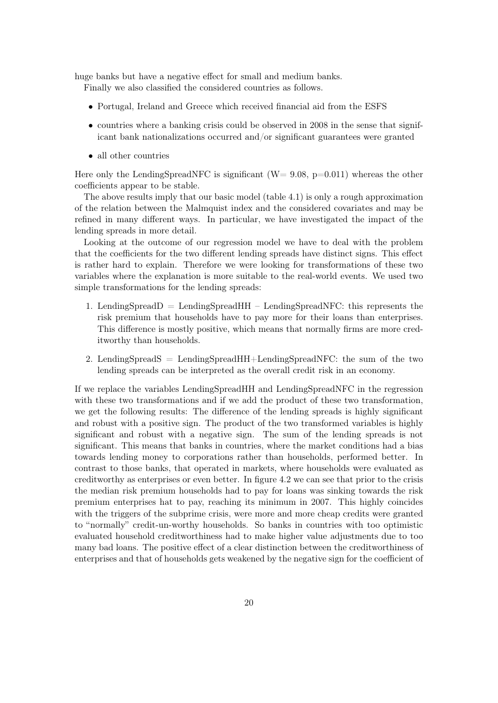huge banks but have a negative effect for small and medium banks.

Finally we also classified the considered countries as follows.

- Portugal, Ireland and Greece which received financial aid from the ESFS
- countries where a banking crisis could be observed in 2008 in the sense that significant bank nationalizations occurred and/or significant guarantees were granted
- all other countries

Here only the LendingSpreadNFC is significant ( $W= 9.08$ ,  $p=0.011$ ) whereas the other coefficients appear to be stable.

The above results imply that our basic model (table [4.1\)](#page-15-0) is only a rough approximation of the relation between the Malmquist index and the considered covariates and may be refined in many different ways. In particular, we have investigated the impact of the lending spreads in more detail.

Looking at the outcome of our regression model we have to deal with the problem that the coefficients for the two different lending spreads have distinct signs. This effect is rather hard to explain. Therefore we were looking for transformations of these two variables where the explanation is more suitable to the real-world events. We used two simple transformations for the lending spreads:

- 1. LendingSpreadD = LendingSpreadHH LendingSpreadNFC: this represents the risk premium that households have to pay more for their loans than enterprises. This difference is mostly positive, which means that normally firms are more creditworthy than households.
- 2. LendingSpreadS = LendingSpreadHH+LendingSpreadNFC: the sum of the two lending spreads can be interpreted as the overall credit risk in an economy.

If we replace the variables LendingSpreadHH and LendingSpreadNFC in the regression with these two transformations and if we add the product of these two transformation, we get the following results: The difference of the lending spreads is highly significant and robust with a positive sign. The product of the two transformed variables is highly significant and robust with a negative sign. The sum of the lending spreads is not significant. This means that banks in countries, where the market conditions had a bias towards lending money to corporations rather than households, performed better. In contrast to those banks, that operated in markets, where households were evaluated as creditworthy as enterprises or even better. In figure [4.2](#page-20-1) we can see that prior to the crisis the median risk premium households had to pay for loans was sinking towards the risk premium enterprises hat to pay, reaching its minimum in 2007. This highly coincides with the triggers of the subprime crisis, were more and more cheap credits were granted to "normally" credit-un-worthy households. So banks in countries with too optimistic evaluated household creditworthiness had to make higher value adjustments due to too many bad loans. The positive effect of a clear distinction between the creditworthiness of enterprises and that of households gets weakened by the negative sign for the coefficient of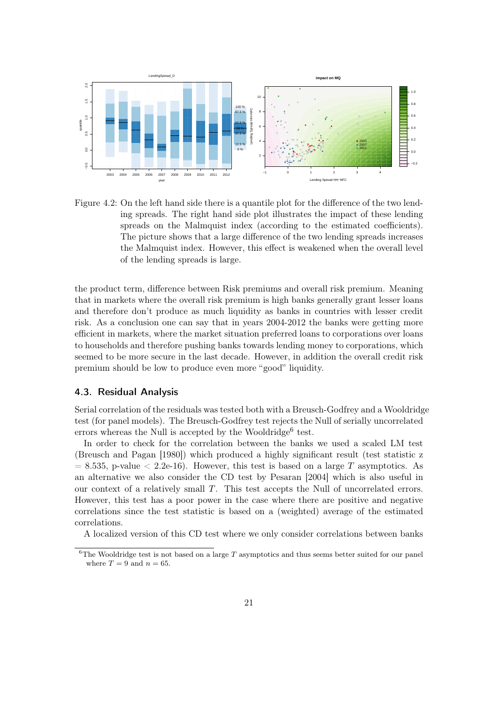

<span id="page-20-1"></span>Figure 4.2: On the left hand side there is a quantile plot for the difference of the two lending spreads. The right hand side plot illustrates the impact of these lending spreads on the Malmquist index (according to the estimated coefficients). The picture shows that a large difference of the two lending spreads increases the Malmquist index. However, this effect is weakened when the overall level of the lending spreads is large.

the product term, difference between Risk premiums and overall risk premium. Meaning that in markets where the overall risk premium is high banks generally grant lesser loans and therefore don't produce as much liquidity as banks in countries with lesser credit risk. As a conclusion one can say that in years 2004-2012 the banks were getting more efficient in markets, where the market situation preferred loans to corporations over loans to households and therefore pushing banks towards lending money to corporations, which seemed to be more secure in the last decade. However, in addition the overall credit risk premium should be low to produce even more "good" liquidity.

#### <span id="page-20-0"></span>4.3. Residual Analysis

Serial correlation of the residuals was tested both with a Breusch-Godfrey and a Wooldridge test (for panel models). The Breusch-Godfrey test rejects the Null of serially uncorrelated errors whereas the Null is accepted by the Wooldridge<sup>[6](#page-20-2)</sup> test.

In order to check for the correlation between the banks we used a scaled LM test [\(Breusch and Pagan](#page-29-12) [\[1980\]](#page-29-12)) which produced a highly significant result (test statistic z  $= 8.535$ , p-value  $< 2.2e-16$ ). However, this test is based on a large T asymptotics. As an alternative we also consider the CD test by [Pesaran](#page-30-13) [\[2004\]](#page-30-13) which is also useful in our context of a relatively small T. This test accepts the Null of uncorrelated errors. However, this test has a poor power in the case where there are positive and negative correlations since the test statistic is based on a (weighted) average of the estimated correlations.

A localized version of this CD test where we only consider correlations between banks

<span id="page-20-2"></span><sup>&</sup>lt;sup>6</sup>The Wooldridge test is not based on a large T asymptotics and thus seems better suited for our panel where  $T = 9$  and  $n = 65$ .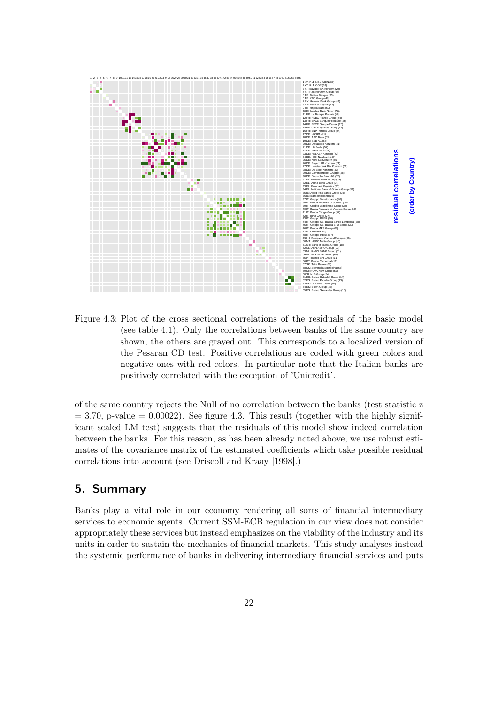

<span id="page-21-1"></span>Figure 4.3: Plot of the cross sectional correlations of the residuals of the basic model (see table [4.1\)](#page-15-0). Only the correlations between banks of the same country are shown, the others are grayed out. This corresponds to a localized version of the Pesaran CD test. Positive correlations are coded with green colors and negative ones with red colors. In particular note that the Italian banks are positively correlated with the exception of 'Unicredit'.

of the same country rejects the Null of no correlation between the banks (test statistic z  $= 3.70$ , p-value  $= 0.00022$ ). See figure [4.3.](#page-21-1) This result (together with the highly significant scaled LM test) suggests that the residuals of this model show indeed correlation between the banks. For this reason, as has been already noted above, we use robust estimates of the covariance matrix of the estimated coefficients which take possible residual correlations into account (see [Driscoll and Kraay](#page-29-10) [\[1998\]](#page-29-10).)

## <span id="page-21-0"></span>5. Summary

Banks play a vital role in our economy rendering all sorts of financial intermediary services to economic agents. Current SSM-ECB regulation in our view does not consider appropriately these services but instead emphasizes on the viability of the industry and its units in order to sustain the mechanics of financial markets. This study analyses instead the systemic performance of banks in delivering intermediary financial services and puts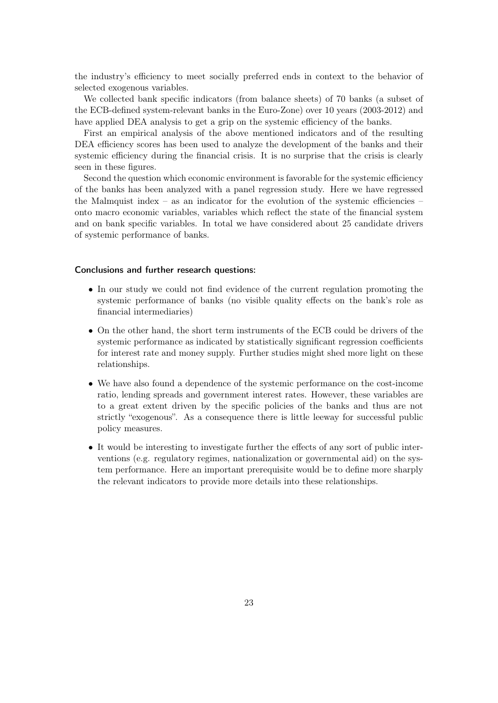the industry's efficiency to meet socially preferred ends in context to the behavior of selected exogenous variables.

We collected bank specific indicators (from balance sheets) of 70 banks (a subset of the ECB-defined system-relevant banks in the Euro-Zone) over 10 years (2003-2012) and have applied DEA analysis to get a grip on the systemic efficiency of the banks.

First an empirical analysis of the above mentioned indicators and of the resulting DEA efficiency scores has been used to analyze the development of the banks and their systemic efficiency during the financial crisis. It is no surprise that the crisis is clearly seen in these figures.

Second the question which economic environment is favorable for the systemic efficiency of the banks has been analyzed with a panel regression study. Here we have regressed the Malmquist index – as an indicator for the evolution of the systemic efficiencies – onto macro economic variables, variables which reflect the state of the financial system and on bank specific variables. In total we have considered about 25 candidate drivers of systemic performance of banks.

#### Conclusions and further research questions:

- In our study we could not find evidence of the current regulation promoting the systemic performance of banks (no visible quality effects on the bank's role as financial intermediaries)
- On the other hand, the short term instruments of the ECB could be drivers of the systemic performance as indicated by statistically significant regression coefficients for interest rate and money supply. Further studies might shed more light on these relationships.
- We have also found a dependence of the systemic performance on the cost-income ratio, lending spreads and government interest rates. However, these variables are to a great extent driven by the specific policies of the banks and thus are not strictly "exogenous". As a consequence there is little leeway for successful public policy measures.
- It would be interesting to investigate further the effects of any sort of public interventions (e.g. regulatory regimes, nationalization or governmental aid) on the system performance. Here an important prerequisite would be to define more sharply the relevant indicators to provide more details into these relationships.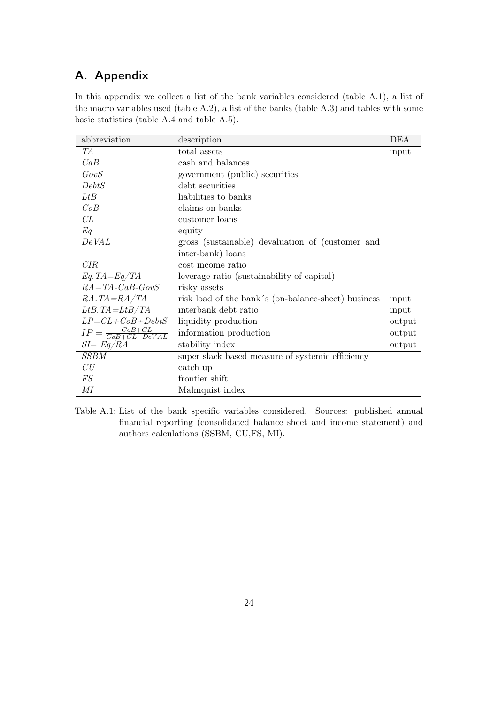## <span id="page-23-0"></span>A. Appendix

In this appendix we collect a list of the bank variables considered (table [A.1\)](#page-23-1), a list of the macro variables used (table [A.2\)](#page-24-0), a list of the banks (table [A.3\)](#page-26-0) and tables with some basic statistics (table [A.4](#page-27-0) and table [A.5\)](#page-28-0).

| abbreviation                             | description                                         | DEA    |
|------------------------------------------|-----------------------------------------------------|--------|
| TА                                       | total assets                                        | input  |
| CaB                                      | cash and balances                                   |        |
| GovS                                     | government (public) securities                      |        |
| DebtS                                    | debt securities                                     |        |
| LtB                                      | liabilities to banks                                |        |
| CoB                                      | claims on banks                                     |        |
| CL                                       | customer loans                                      |        |
| Eq                                       | equity                                              |        |
| DeVAL                                    | gross (sustainable) devaluation of (customer and    |        |
|                                          | inter-bank) loans                                   |        |
| CIR                                      | cost income ratio                                   |        |
| $Eq.TA = Eq/TA$                          | leverage ratio (sustainability of capital)          |        |
| $RA = TA - CaB - GovS$                   | risky assets                                        |        |
| $RA.TA = RA/TA$                          | risk load of the bank's (on-balance-sheet) business | input  |
| $LtB.TA=LtB/TA$                          | interbank debt ratio                                | input  |
| $LP = CL + CoB + DebtS$                  | liquidity production                                | output |
| $IP = \frac{CoB + CL}{CoB + CL - DeVAL}$ | information production                              | output |
| $SI = Eq/RA$                             | stability index                                     | output |
| SSBM                                     | super slack based measure of systemic efficiency    |        |
| CU                                       | catch up                                            |        |
| <b>FS</b>                                | frontier shift                                      |        |
| МI                                       | Malmquist index                                     |        |

<span id="page-23-1"></span>Table A.1: List of the bank specific variables considered. Sources: published annual financial reporting (consolidated balance sheet and income statement) and authors calculations (SSBM, CU,FS, MI).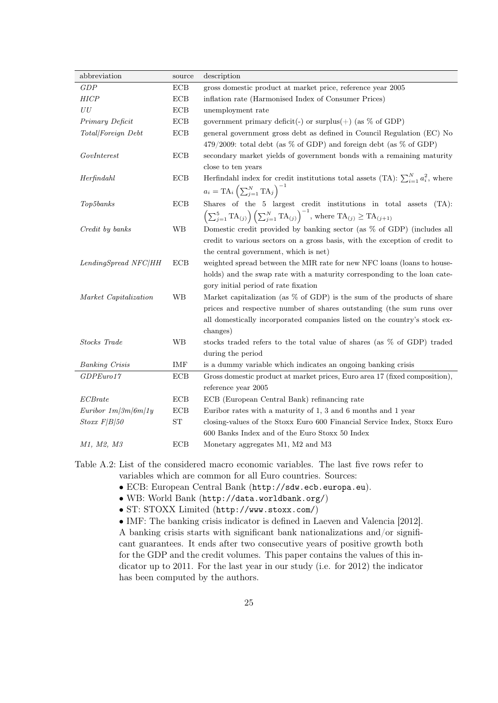| abbreviation          | source     | description                                                                                                                                     |
|-----------------------|------------|-------------------------------------------------------------------------------------------------------------------------------------------------|
| GDP                   | ECB        | gross domestic product at market price, reference year 2005                                                                                     |
| <b>HICP</b>           | ECB        | inflation rate (Harmonised Index of Consumer Prices)                                                                                            |
| ${\cal U}{\cal U}$    | $\rm ECB$  | unemployment rate                                                                                                                               |
| Primary Deficit       | ECB        | government primary deficit(-) or surplus(+) (as $\%$ of GDP)                                                                                    |
| Total/Foreign Debt    | ECB        | general government gross debt as defined in Council Regulation (EC) No                                                                          |
|                       |            | 479/2009: total debt (as $%$ of GDP) and foreign debt (as $%$ of GDP)                                                                           |
| GovInterest           | ECB        | secondary market yields of government bonds with a remaining maturity                                                                           |
|                       |            | close to ten years                                                                                                                              |
| Herfindahl            | ECB        | Herfindahl index for credit institutions total assets (TA): $\sum_{i=1}^{N} a_i^2$ , where                                                      |
|                       |            | $a_i = \text{TA}_i \left( \sum_{j=1}^N \text{TA}_j \right)^{-1}$                                                                                |
| Top5banks             | ECB        | Shares of the 5 largest credit institutions in total assets<br>$(TA)$ :                                                                         |
|                       |            | $\left(\sum_{j=1}^{5} \text{TA}_{(j)}\right) \left(\sum_{j=1}^{N} \text{TA}_{(j)}\right)^{-1}$ , where $\text{TA}_{(j)} \geq \text{TA}_{(j+1)}$ |
| Credit by banks       | WB         | Domestic credit provided by banking sector (as % of GDP) (includes all                                                                          |
|                       |            | credit to various sectors on a gross basis, with the exception of credit to                                                                     |
|                       |            | the central government, which is net)                                                                                                           |
| LendingSpread NFC/HH  | ECB        | weighted spread between the MIR rate for new NFC loans (loans to house-                                                                         |
|                       |            | holds) and the swap rate with a maturity corresponding to the loan cate-                                                                        |
|                       |            | gory initial period of rate fixation                                                                                                            |
| Market Capitalization | <b>WB</b>  | Market capitalization (as $\%$ of GDP) is the sum of the products of share                                                                      |
|                       |            | prices and respective number of shares outstanding (the sum runs over                                                                           |
|                       |            | all domestically incorporated companies listed on the country's stock ex-                                                                       |
|                       |            | changes)                                                                                                                                        |
| Stocks Trade          | <b>WB</b>  | stocks traded refers to the total value of shares (as % of GDP) traded                                                                          |
|                       |            | during the period                                                                                                                               |
| <b>Banking Crisis</b> | IMF        | is a dummy variable which indicates an ongoing banking crisis                                                                                   |
| GDPEuro17             | ECB        | Gross domestic product at market prices, Euro area 17 (fixed composition),                                                                      |
|                       |            | reference year 2005                                                                                                                             |
| ECBrate               | ECB        | ECB (European Central Bank) refinancing rate                                                                                                    |
| Euribor $1m/3m/6m/1y$ | ECB        | Euribor rates with a maturity of 1, 3 and 6 months and 1 year                                                                                   |
| $Stoxx$ $F/B/50$      | ST         | closing-values of the Stoxx Euro 600 Financial Service Index, Stoxx Euro                                                                        |
|                       |            | 600 Banks Index and of the Euro Stoxx 50 Index                                                                                                  |
| M1, M2, M3            | <b>ECB</b> | Monetary aggregates M1, M2 and M3                                                                                                               |

Table A.2: List of the considered macro economic variables. The last five rows refer to variables which are common for all Euro countries. Sources:

- <span id="page-24-0"></span>• ECB: European Central Bank (<http://sdw.ecb.europa.eu>).
- WB: World Bank (<http://data.worldbank.org/>)
- ST: STOXX Limited (<http://www.stoxx.com/>)

• IMF: The banking crisis indicator is defined in [Laeven and Valencia](#page-30-14) [\[2012\]](#page-30-14). A banking crisis starts with significant bank nationalizations and/or significant guarantees. It ends after two consecutive years of positive growth both for the GDP and the credit volumes. This paper contains the values of this indicator up to 2011. For the last year in our study (i.e. for 2012) the indicator has been computed by the authors.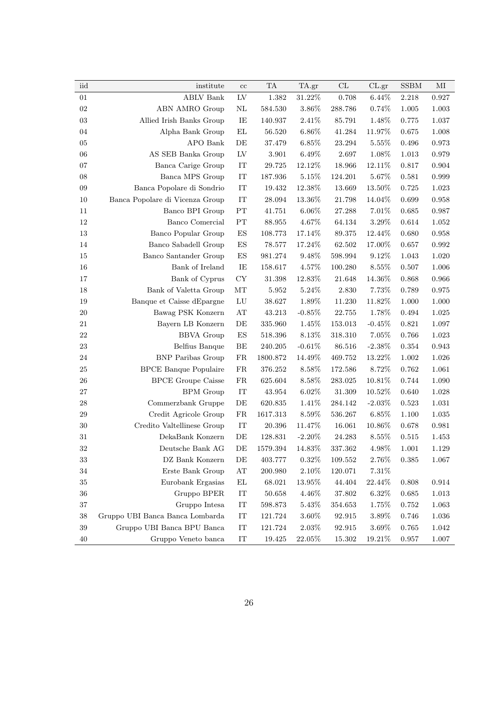| iid         | institute                       | cc                     | TA          | TA.gr     | $\ensuremath{\mathrm{CL}}\xspace$ | CL.gr     | <b>SSBM</b> | MI          |
|-------------|---------------------------------|------------------------|-------------|-----------|-----------------------------------|-----------|-------------|-------------|
| 01          | <b>ABLV Bank</b>                | ${\rm LV}$             | 1.382       | $31.22\%$ | 0.708                             | 6.44%     | 2.218       | 0.927       |
| 02          | ABN AMRO Group                  | NL                     | 584.530     | $3.86\%$  | 288.786                           | 0.74%     | 1.005       | 1.003       |
| $03\,$      | Allied Irish Banks Group        | IE                     | 140.937     | $2.41\%$  | 85.791                            | $1.48\%$  | 0.775       | 1.037       |
| 04          | Alpha Bank Group                | EL                     | 56.520      | $6.86\%$  | 41.284                            | 11.97%    | 0.675       | 1.008       |
| $05\,$      | APO Bank                        | DE                     | 37.479      | $6.85\%$  | 23.294                            | 5.55%     | 0.496       | 0.973       |
| 06          | AS SEB Banka Group              | LV                     | $3.901\,$   | $6.49\%$  | 2.697                             | 1.08%     | 1.013       | 0.979       |
| 07          | Banca Carige Group              | IT                     | 29.725      | $12.12\%$ | 18.966                            | $12.11\%$ | 0.817       | 0.904       |
| $08\,$      | Banca MPS Group                 | ${\rm IT}$             | 187.936     | 5.15%     | 124.201                           | 5.67%     | $\,0.581\,$ | 0.999       |
| ${\bf 09}$  | Banca Popolare di Sondrio       | ${\rm IT}$             | 19.432      | 12.38%    | 13.669                            | 13.50%    | 0.725       | 1.023       |
| $10\,$      | Banca Popolare di Vicenza Group | IT                     | $28.094\,$  | 13.36%    | 21.798                            | 14.04%    | 0.699       | 0.958       |
| 11          | Banco BPI Group                 | PT                     | 41.751      | $6.06\%$  | 27.288                            | 7.01%     | $\,0.685\,$ | 0.987       |
| $12\,$      | Banco Comercial                 | PT                     | 88.955      | 4.67%     | 64.134                            | 3.29%     | 0.614       | 1.052       |
| $13\,$      | Banco Popular Group             | $_{\rm ES}$            | 108.773     | 17.14%    | 89.375                            | 12.44%    | 0.680       | 0.958       |
| 14          | Banco Sabadell Group            | ES                     | 78.577      | $17.24\%$ | 62.502                            | 17.00%    | 0.657       | $\,0.992\,$ |
| $15\,$      | Banco Santander Group           | $_{\rm ES}$            | 981.274     | 9.48%     | 598.994                           | 9.12%     | 1.043       | 1.020       |
| $16\,$      | Bank of Ireland                 | IE                     | 158.617     | 4.57%     | 100.280                           | 8.55%     | 0.507       | 1.006       |
| $17\,$      | Bank of Cyprus                  | CY                     | 31.398      | 12.83%    | 21.648                            | 14.36%    | 0.868       | 0.966       |
| 18          | Bank of Valetta Group           | MT                     | 5.952       | $5.24\%$  | 2.830                             | 7.73%     | 0.789       | 0.975       |
| 19          | Banque et Caisse dEpargne       | ${\rm LU}$             | 38.627      | 1.89%     | 11.230                            | 11.82%    | 1.000       | 1.000       |
| $20\,$      | Bawag PSK Konzern               | $\mathbf{A}\mathbf{T}$ | 43.213      | $-0.85\%$ | $22.755\,$                        | 1.78%     | 0.494       | 1.025       |
| 21          | Bayern LB Konzern               | $\rm DE$               | 335.960     | 1.45%     | 153.013                           | $-0.45%$  | 0.821       | 1.097       |
| 22          | <b>BBVA</b> Group               | ${\rm ES}$             | 518.396     | 8.13%     | 318.310                           | 7.05%     | 0.766       | 1.023       |
| 23          | Belfius Banque                  | BE                     | 240.205     | $-0.61\%$ | 86.516                            | $-2.38%$  | 0.354       | 0.943       |
| 24          | <b>BNP</b> Paribas Group        | ${\rm FR}$             | 1800.872    | $14.49\%$ | 469.752                           | 13.22\%   | 1.002       | 1.026       |
| 25          | <b>BPCE</b> Banque Populaire    | FR                     | 376.252     | 8.58%     | 172.586                           | 8.72%     | 0.762       | 1.061       |
| ${\bf 26}$  | <b>BPCE</b> Groupe Caisse       | ${\rm FR}$             | 625.604     | $8.58\%$  | 283.025                           | $10.81\%$ | 0.744       | 1.090       |
| $27\,$      | <b>BPM</b> Group                | IT                     | 43.954      | 6.02%     | 31.309                            | 10.52%    | 0.640       | 1.028       |
| $\sqrt{28}$ | Commerzbank Gruppe              | DE                     | 620.835     | $1.41\%$  | 284.142                           | $-2.03%$  | 0.523       | 1.031       |
| $\,29$      | Credit Agricole Group           | FR                     | 1617.313    | 8.59%     | 536.267                           | 6.85%     | 1.100       | 1.035       |
| $30\,$      | Credito Valtellinese Group      | IT                     | 20.396      | $11.47\%$ | 16.061                            | $10.86\%$ | 0.678       | 0.981       |
| 31          | DekaBank Konzern                | DE                     | 128.831     | $-2.20\%$ | 24.283                            | 8.55%     | $\!0.515$   | 1.453       |
| 32          | Deutsche Bank AG                | DE                     | 1579.394    | 14.83%    | 337.362                           | 4.98%     | 1.001       | 1.129       |
| $33\,$      | DZ Bank Konzern                 | DE                     | 403.777     | $0.32\%$  | 109.552                           | 2.76%     | $\,0.385\,$ | 1.067       |
| $34\,$      | Erste Bank Group                | AT                     | 200.980     | $2.10\%$  | 120.071                           | 7.31%     |             |             |
| $35\,$      | Eurobank Ergasias               | EL                     | 68.021      | 13.95%    | 44.404                            | 22.44%    | 0.808       | $\,0.914\,$ |
| $36\,$      | Gruppo BPER                     | $\mathop{\mathrm{IT}}$ | 50.658      | $4.46\%$  | 37.802                            | $6.32\%$  | $\,0.685\,$ | $1.013\,$   |
| $37\,$      | Gruppo Intesa                   | IT                     | 598.873     | 5.43%     | 354.653                           | 1.75%     | 0.752       | 1.063       |
| $38\,$      | Gruppo UBI Banca Banca Lombarda | IT                     | $121.724\,$ | $3.60\%$  | 92.915                            | 3.89%     | 0.746       | 1.036       |
| $39\,$      | Gruppo UBI Banca BPU Banca      | $\operatorname{IT}$    | 121.724     | $2.03\%$  | 92.915                            | 3.69%     | $0.765\,$   | 1.042       |
| 40          | Gruppo Veneto banca             | IT                     | 19.425      | 22.05%    | 15.302                            | 19.21%    | 0.957       | 1.007       |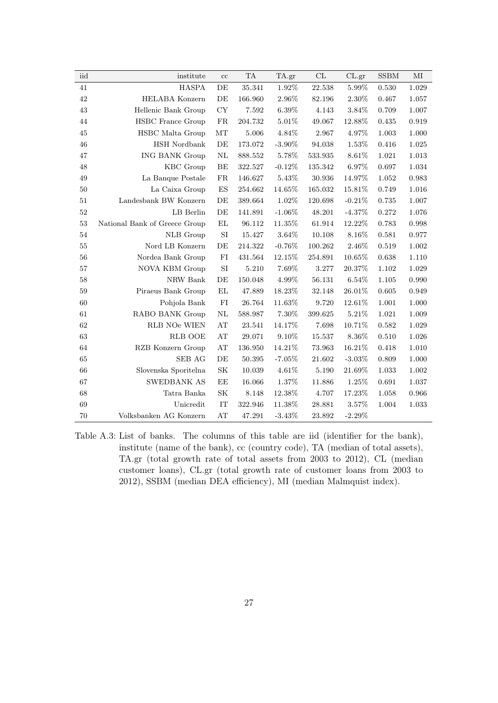| iid    | institute                     | $\rm cc$                 | TA      | TA.gr     | CL         | CL.gr     | <b>SSBM</b> | MI    |
|--------|-------------------------------|--------------------------|---------|-----------|------------|-----------|-------------|-------|
| 41     | <b>HASPA</b>                  | DE                       | 35.341  | 1.92%     | 22.538     | 5.99%     | 0.530       | 1.029 |
| 42     | <b>HELABA</b> Konzern         | $\rm DE$                 | 166.960 | $2.96\%$  | 82.196     | $2.30\%$  | 0.467       | 1.057 |
| $43\,$ | Hellenic Bank Group           | ${\rm CY}$               | 7.592   | $6.39\%$  | 4.143      | $3.84\%$  | 0.709       | 1.007 |
| 44     | <b>HSBC</b> France Group      | ${\rm FR}$               | 204.732 | 5.01\%    | 49.067     | 12.88%    | 0.435       | 0.919 |
| 45     | <b>HSBC</b> Malta Group       | $\rm{MT}$                | 5.006   | 4.84%     | 2.967      | 4.97%     | 1.003       | 1.000 |
| 46     | <b>HSH</b> Nordbank           | $\rm{DE}$                | 173.072 | $-3.90\%$ | 94.038     | 1.53%     | 0.416       | 1.025 |
| 47     | <b>ING BANK Group</b>         | $\rm NL$                 | 888.552 | 5.78%     | 533.935    | $8.61\%$  | 1.021       | 1.013 |
| 48     | KBC Group                     | $\rm BE$                 | 322.527 | $-0.12%$  | 135.342    | $6.97\%$  | 0.697       | 1.034 |
| 49     | La Banque Postale             | ${\rm FR}$               | 146.627 | 5.43\%    | 30.936     | 14.97%    | 1.052       | 0.983 |
| 50     | La Caixa Group                | $\mathop{\hbox{\rm ES}}$ | 254.662 | 14.65%    | 165.032    | 15.81%    | 0.749       | 1.016 |
| 51     | Landesbank BW Konzern         | $\rm DE$                 | 389.664 | 1.02%     | 120.698    | $-0.21%$  | 0.735       | 1.007 |
| $52\,$ | LB Berlin                     | $\rm DE$                 | 141.891 | $-1.06%$  | 48.201     | $-4.37%$  | 0.272       | 1.076 |
| 53     | National Bank of Greece Group | EL                       | 96.112  | 11.35%    | 61.914     | 12.22%    | 0.783       | 0.998 |
| 54     | <b>NLB</b> Group              | $\rm{SI}$                | 15.427  | 3.64%     | 10.108     | 8.16%     | 0.581       | 0.977 |
| 55     | Nord LB Konzern               | $\rm DE$                 | 214.322 | $-0.76%$  | 100.262    | $2.46\%$  | 0.519       | 1.002 |
| 56     | Nordea Bank Group             | ${\rm FI}$               | 431.564 | $12.15\%$ | 254.891    | 10.65%    | 0.638       | 1.110 |
| 57     | <b>NOVA KBM Group</b>         | SI                       | 5.210   | 7.69%     | 3.277      | 20.37%    | 1.102       | 1.029 |
| 58     | NRW Bank                      | DE                       | 150.048 | 4.99%     | $56.131\,$ | 6.54%     | 1.105       | 0.990 |
| 59     | Piraeus Bank Group            | $\mathop{\rm EL}$        | 47.889  | 18.23%    | 32.148     | 26.01%    | 0.605       | 0.949 |
| 60     | Pohjola Bank                  | ${\rm FI}$               | 26.764  | 11.63%    | 9.720      | 12.61%    | 1.001       | 1.000 |
| 61     | RABO BANK Group               | $\rm NL$                 | 588.987 | 7.30%     | 399.625    | 5.21\%    | 1.021       | 1.009 |
| 62     | RLB NOe WIEN                  | AT                       | 23.541  | 14.17%    | 7.698      | 10.71%    | 0.582       | 1.029 |
| 63     | <b>RLB OOE</b>                | $\mathbf{A} \mathbf{T}$  | 29.071  | $9.10\%$  | 15.537     | $8.36\%$  | 0.510       | 1.026 |
| 64     | RZB Konzern Group             | $\mathbf{A} \mathbf{T}$  | 136.950 | 14.21%    | 73.963     | 16.21%    | 0.418       | 1.010 |
| 65     | SEB AG                        | $\rm DE$                 | 50.395  | $-7.05%$  | 21.602     | $-3.03%$  | 0.809       | 1.000 |
| 66     | Slovenska Sporitelna          | SK                       | 10.039  | 4.61%     | 5.190      | 21.69%    | 1.033       | 1.002 |
| 67     | <b>SWEDBANK AS</b>            | $\rm EE$                 | 16.066  | 1.37%     | 11.886     | $1.25\%$  | 0.691       | 1.037 |
| 68     | Tatra Banka                   | $\rm SK$                 | 8.148   | 12.38%    | 4.707      | 17.23%    | 1.058       | 0.966 |
| 69     | Unicredit                     | $\rm IT$                 | 322.946 | 11.38%    | $28.881\,$ | $3.57\%$  | 1.004       | 1.033 |
| 70     | Volksbanken AG Konzern        | AT                       | 47.291  | $-3.43\%$ | 23.892     | $-2.29\%$ |             |       |

<span id="page-26-0"></span>Table A.3: List of banks. The columns of this table are iid (identifier for the bank), institute (name of the bank), cc (country code), TA (median of total assets), TA.gr (total growth rate of total assets from 2003 to 2012), CL (median customer loans), CL.gr (total growth rate of customer loans from 2003 to 2012), SSBM (median DEA efficiency), MI (median Malmquist index).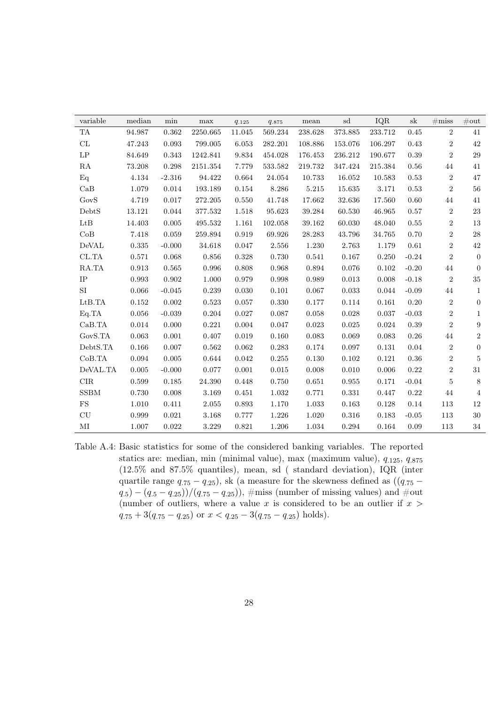| variable                          | median    | min      | max         | $q_{.125}$ | 9.875   | mean    | sd          | IQR     | $_{\rm sk}$ | $\#\text{miss}$ | $\#\text{out}$   |
|-----------------------------------|-----------|----------|-------------|------------|---------|---------|-------------|---------|-------------|-----------------|------------------|
| TA                                | 94.987    | 0.362    | 2250.665    | 11.045     | 569.234 | 238.628 | 373.885     | 233.712 | 0.45        | $\overline{2}$  | 41               |
| $\ensuremath{\mathrm{CL}}\xspace$ | 47.243    | 0.093    | 799.005     | 6.053      | 282.201 | 108.886 | 153.076     | 106.297 | 0.43        | $\sqrt{2}$      | 42               |
| $\mathrm{LP}$                     | 84.649    | 0.343    | 1242.841    | 9.834      | 454.028 | 176.453 | 236.212     | 190.677 | $0.39\,$    | $\overline{2}$  | $\,29$           |
| RA                                | 73.208    | 0.298    | 2151.354    | 7.779      | 533.582 | 219.732 | 347.424     | 215.384 | 0.56        | 44              | 41               |
| Eq                                | 4.134     | $-2.316$ | 94.422      | 0.664      | 24.054  | 10.733  | 16.052      | 10.583  | 0.53        | $\overline{2}$  | 47               |
| CaB                               | 1.079     | 0.014    | 193.189     | 0.154      | 8.286   | 5.215   | 15.635      | 3.171   | 0.53        | $\sqrt{2}$      | 56               |
| GovS                              | 4.719     | 0.017    | 272.205     | 0.550      | 41.748  | 17.662  | 32.636      | 17.560  | 0.60        | 44              | 41               |
| DebtS                             | 13.121    | 0.044    | 377.532     | 1.518      | 95.623  | 39.284  | 60.530      | 46.965  | 0.57        | $\sqrt{2}$      | $23\,$           |
| LtB                               | 14.403    | 0.005    | 495.532     | 1.161      | 102.058 | 39.162  | 60.030      | 48.040  | 0.55        | $\overline{2}$  | 13               |
| CoB                               | 7.418     | 0.059    | 259.894     | 0.919      | 69.926  | 28.283  | 43.796      | 34.765  | 0.70        | $\overline{2}$  | 28               |
| DeVAL                             | 0.335     | $-0.000$ | 34.618      | 0.047      | 2.556   | 1.230   | 2.763       | 1.179   | 0.61        | $\sqrt{2}$      | 42               |
| CL.TA                             | 0.571     | 0.068    | 0.856       | 0.328      | 0.730   | 0.541   | 0.167       | 0.250   | $-0.24$     | $\overline{2}$  | $\overline{0}$   |
| RA.TA                             | 0.913     | 0.565    | 0.996       | 0.808      | 0.968   | 0.894   | 0.076       | 0.102   | $-0.20$     | 44              | $\overline{0}$   |
| IP                                | 0.993     | 0.902    | 1.000       | 0.979      | 0.998   | 0.989   | 0.013       | 0.008   | $-0.18$     | $\sqrt{2}$      | 35               |
| SI                                | 0.066     | $-0.045$ | 0.239       | 0.030      | 0.101   | 0.067   | 0.033       | 0.044   | $-0.09$     | 44              | $\mathbf{1}$     |
| LtB.TA                            | 0.152     | 0.002    | 0.523       | 0.057      | 0.330   | 0.177   | 0.114       | 0.161   | $0.20\,$    | $\,2$           | $\boldsymbol{0}$ |
| Eq.TA                             | 0.056     | $-0.039$ | 0.204       | 0.027      | 0.087   | 0.058   | 0.028       | 0.037   | $-0.03$     | $\,2$           | $\mathbf{1}$     |
| CaB.TA                            | 0.014     | 0.000    | 0.221       | 0.004      | 0.047   | 0.023   | $\,0.025\,$ | 0.024   | $0.39\,$    | $\sqrt{2}$      | $\boldsymbol{9}$ |
| GovS.TA                           | 0.063     | 0.001    | 0.407       | 0.019      | 0.160   | 0.083   | 0.069       | 0.083   | 0.26        | 44              | $\sqrt{2}$       |
| DebtS.TA                          | 0.166     | 0.007    | 0.562       | 0.062      | 0.283   | 0.174   | 0.097       | 0.131   | 0.04        | $\sqrt{2}$      | $\overline{0}$   |
| CoB.TA                            | 0.094     | 0.005    | $\,0.644\,$ | 0.042      | 0.255   | 0.130   | $0.102\,$   | 0.121   | $0.36\,$    | $\overline{2}$  | $\overline{5}$   |
| DeVAL.TA                          | 0.005     | $-0.000$ | 0.077       | 0.001      | 0.015   | 0.008   | 0.010       | 0.006   | 0.22        | $\overline{2}$  | 31               |
| CIR                               | 0.599     | 0.185    | 24.390      | 0.448      | 0.750   | 0.651   | 0.955       | 0.171   | $-0.04$     | $\overline{5}$  | 8                |
| <b>SSBM</b>                       | 0.730     | 0.008    | 3.169       | 0.451      | 1.032   | 0.771   | 0.331       | 0.447   | 0.22        | 44              | $\overline{4}$   |
| FS                                | 1.010     | 0.411    | 2.055       | 0.893      | 1.170   | 1.033   | 0.163       | 0.128   | 0.14        | 113             | 12               |
| CU                                | 0.999     | 0.021    | $3.168\,$   | 0.777      | 1.226   | 1.020   | 0.316       | 0.183   | $-0.05$     | 113             | $30\,$           |
| MI                                | $1.007\,$ | 0.022    | 3.229       | 0.821      | 1.206   | 1.034   | 0.294       | 0.164   | 0.09        | 113             | 34               |

<span id="page-27-0"></span>Table A.4: Basic statistics for some of the considered banking variables. The reported statics are: median, min (minimal value), max (maximum value), q.125, q.<sup>875</sup> (12.5% and 87.5% quantiles), mean, sd ( standard deviation), IQR (inter quartile range  $q_{.75} - q_{.25}$ ), sk (a measure for the skewness defined as  $((q_{.75} (q_{.5}) - (q_{.5} - q_{.25}) / (q_{.75} - q_{.25})$ , #miss (number of missing values) and #out (number of outliers, where a value x is considered to be an outlier if  $x >$  $q_{.75} + 3(q_{.75} - q_{.25})$  or  $x < q_{.25} - 3(q_{.75} - q_{.25})$  holds).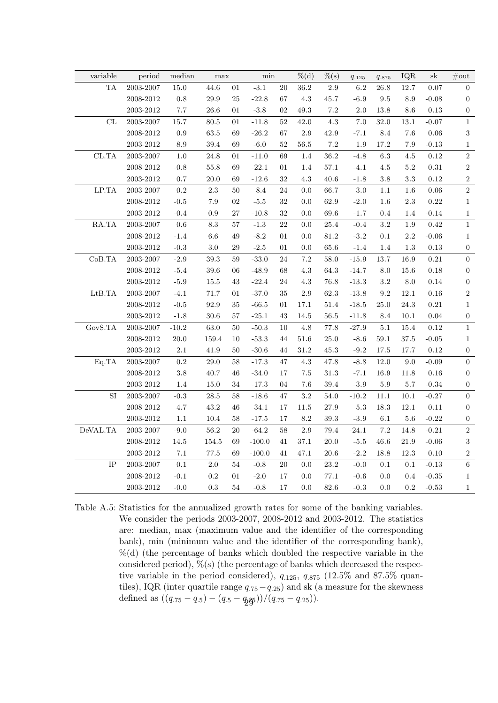| variable                            | period        | $\operatorname{median}$ | max             |        | $\min$           |        | $%$ $(d)$ | $\%$ (s) | $q_{.125}$ | 9.875      | IQR      | $\rm{sk}$  | $\#\text{out}$   |
|-------------------------------------|---------------|-------------------------|-----------------|--------|------------------|--------|-----------|----------|------------|------------|----------|------------|------------------|
| ${\rm TA}$                          | 2003-2007     | 15.0                    | 44.6            | $01\,$ | $-3.1$           | $20\,$ | $36.2\,$  | $2.9\,$  | $6.2\,$    | 26.8       | 12.7     | 0.07       | $\overline{0}$   |
|                                     | 2008-2012     | $0.8\,$                 | $29.9\,$        | $25\,$ | $-22.8$          | 67     | $4.3\,$   | $45.7\,$ | $-6.9$     | $\,9.5$    | $8.9\,$  | $-0.08$    | $\boldsymbol{0}$ |
|                                     | $2003 - 2012$ | 7.7                     | $26.6\,$        | 01     | $-3.8$           | $02\,$ | 49.3      | $7.2\,$  | $2.0\,$    | $13.8\,$   | $8.6\,$  | 0.13       | $\boldsymbol{0}$ |
| $\ensuremath{\mathrm{CL}}$          | 2003-2007     | 15.7                    | 80.5            | 01     | $-11.8$          | $52\,$ | $42.0\,$  | $4.3\,$  | 7.0        | 32.0       | $13.1\,$ | $-0.07$    | $1\,$            |
|                                     | 2008-2012     | $\rm 0.9$               | 63.5            | 69     | $-26.2$          | 67     | $2.9\,$   | $42.9\,$ | $-7.1$     | $\ \, 8.4$ | 7.6      | $0.06\,$   | $\sqrt{3}$       |
|                                     | $2003 - 2012$ | $\!\!\!\!\!8.9$         | $39.4\,$        | 69     | $-6.0$           | $52\,$ | 56.5      | $7.2\,$  | 1.9        | 17.2       | 7.9      | $-0.13$    | $\,1$            |
| CL.TA                               | 2003-2007     | $1.0\,$                 | $24.8\,$        | 01     | $-11.0$          | 69     | $1.4\,$   | $36.2\,$ | $-4.8$     | $6.3\,$    | 4.5      | 0.12       | $\,2$            |
|                                     | $2008 - 2012$ | $-0.8$                  | 55.8            | 69     | $\textbf{-22.1}$ | 01     | 1.4       | $57.1\,$ | $-4.1$     | $4.5\,$    | $5.2\,$  | $\rm 0.31$ | $\,2$            |
|                                     | $2003 - 2012$ | $0.7\,$                 | 20.0            | 69     | $-12.6$          | 32     | $4.3\,$   | 40.6     | $-1.8$     | $3.8\,$    | 3.3      | $0.12\,$   | $\,2$            |
| $\operatorname{LP.TA}$              | 2003-2007     | $-0.2$                  | $2.3\,$         | 50     | $-8.4$           | 24     | $0.0\,$   | 66.7     | $-3.0$     | 1.1        | 1.6      | $-0.06$    | $\sqrt{2}$       |
|                                     | 2008-2012     | $-0.5$                  | $7.9\,$         | $02\,$ | $\text{-}5.5$    | $32\,$ | 0.0       | $62.9\,$ | $-2.0$     | $1.6\,$    | $2.3\,$  | 0.22       | $\,1$            |
|                                     | $2003 - 2012$ | $-0.4$                  | 0.9             | $27\,$ | $-10.8$          | 32     | 0.0       | 69.6     | $-1.7$     | $0.4\,$    | 1.4      | $-0.14$    | $\,1$            |
| RA.TA                               | 2003-2007     | $0.6\,$                 | $\!\!\!\!\!8.3$ | 57     | $-1.3$           | 22     | 0.0       | $25.4\,$ | $-0.4$     | $\!3.2\!$  | $1.9\,$  | 0.42       | $\,1$            |
|                                     | 2008-2012     | $-1.4$                  | $6.6\,$         | 49     | $-8.2$           | 01     | 0.0       | 81.2     | $-3.2$     | $0.1\,$    | $2.2\,$  | $-0.06$    | $\,1$            |
|                                     | $2003 - 2012$ | $-0.3$                  | $3.0\,$         | 29     | $-2.5$           | 01     | $0.0\,$   | $65.6\,$ | $-1.4$     | 1.4        | 1.3      | 0.13       | $\boldsymbol{0}$ |
| CoB.TA                              | $2003 - 2007$ | $-2.9$                  | $39.3\,$        | 59     | $-33.0$          | 24     | 7.2       | $58.0\,$ | $-15.9$    | $13.7\,$   | $16.9\,$ | $\rm 0.21$ | $\boldsymbol{0}$ |
|                                     | $2008 - 2012$ | $-5.4$                  | $39.6\,$        | 06     | $-48.9$          | 68     | 4.3       | $64.3\,$ | $-14.7$    | $8.0\,$    | $15.6\,$ | $0.18\,$   | $\boldsymbol{0}$ |
|                                     | $2003 - 2012$ | $-5.9$                  | $15.5\,$        | 43     | $-22.4$          | $24\,$ | 4.3       | $76.8\,$ | $-13.3$    | $3.2\,$    | $8.0\,$  | $0.14\,$   | $\boldsymbol{0}$ |
| LtB.TA                              | 2003-2007     | $-4.1$                  | $71.7\,$        | 01     | $-37.0$          | $35\,$ | $2.9\,$   | $62.3\,$ | $-13.8$    | $\rm 9.2$  | $12.1\,$ | $0.16\,$   | $\,2\,$          |
|                                     | $2008 - 2012$ | $-0.5$                  | $92.9\,$        | $35\,$ | $\mbox{-}66.5$   | 01     | 17.1      | $51.4\,$ | $-18.5$    | 25.0       | $24.3\,$ | $\rm 0.21$ | $\,1$            |
|                                     | $2003 - 2012$ | $-1.8$                  | $30.6\,$        | 57     | $\textbf{-25.1}$ | 43     | 14.5      | $56.5\,$ | $-11.8$    | $8.4\,$    | $10.1\,$ | 0.04       | $\boldsymbol{0}$ |
| ${\rm GovS.TA}$                     | 2003-2007     | $-10.2$                 | $63.0\,$        | 50     | $-50.3$          | 10     | $4.8\,$   | $77.8\,$ | $-27.9$    | $5.1\,$    | 15.4     | 0.12       | $\mathbf{1}$     |
|                                     | 2008-2012     | $20.0\,$                | 159.4           | 10     | $-53.3$          | 44     | $51.6\,$  | $25.0\,$ | $-8.6$     | 59.1       | $37.5\,$ | $-0.05$    | $\,1\,$          |
|                                     | $2003 - 2012$ | $2.1\,$                 | 41.9            | 50     | $-30.6$          | 44     | 31.2      | $45.3\,$ | $-9.2$     | 17.5       | 17.7     | 0.12       | $\boldsymbol{0}$ |
| Eq.TA                               | $2003 - 2007$ | $\rm 0.2$               | $29.0\,$        | 58     | $-17.3$          | 47     | $4.3\,$   | $47.8\,$ | $-8.8$     | $12.0\,$   | 9.0      | $-0.09$    | $\boldsymbol{0}$ |
|                                     | 2008-2012     | $3.8\,$                 | 40.7            | 46     | $-34.0$          | 17     | $7.5\,$   | $31.3\,$ | $-7.1$     | 16.9       | 11.8     | $0.16\,$   | $\boldsymbol{0}$ |
|                                     | $2003 - 2012$ | $1.4\,$                 | $15.0\,$        | 34     | $-17.3$          | 04     | $7.6\,$   | $39.4\,$ | $-3.9$     | $5.9\,$    | $5.7\,$  | $-0.34$    | $\boldsymbol{0}$ |
| $\rm SI$                            | $2003 - 2007$ | $-0.3$                  | $28.5\,$        | $58\,$ | $-18.6$          | 47     | 3.2       | $54.0\,$ | $-10.2$    | $11.1\,$   | $10.1\,$ | $-0.27$    | $\boldsymbol{0}$ |
|                                     | $2008 - 2012$ | $4.7\,$                 | $43.2\,$        | 46     | $-34.1$          | 17     | $11.5\,$  | $27.9\,$ | $-5.3$     | $18.3\,$   | $12.1\,$ | $0.11\,$   | $\boldsymbol{0}$ |
|                                     | $2003 - 2012$ | $1.1\,$                 | $10.4\,$        | $58\,$ | $\textbf{-17.5}$ | 17     | 8.2       | $39.3\,$ | $-3.9$     | $6.1\,$    | $5.6\,$  | $-0.22$    | $\boldsymbol{0}$ |
| $\operatorname{DeVAL}. \mathbf{TA}$ | $2003 - 2007$ | $-9.0$                  | $56.2\,$        | $20\,$ | $-64.2$          | $58\,$ | $2.9\,$   | $79.4\,$ | $-24.1$    | $7.2\,$    | 14.8     | $-0.21$    | $\,2$            |
|                                     | $2008 - 2012$ | $14.5\,$                | $154.5\,$       | 69     | $-100.0$         | 41     | $37.1\,$  | $20.0\,$ | $-5.5$     | 46.6       | $21.9\,$ | $-0.06$    | $\sqrt{3}$       |
|                                     | $2003 - 2012$ | $7.1\,$                 | $77.5\,$        | 69     | $-100.0$         | 41     | 47.1      | $20.6\,$ | $-2.2$     | 18.8       | $12.3\,$ | $0.10\,$   | $\,2$            |
| $\rm IP$                            | $2003 - 2007$ | $0.1\,$                 | $2.0\,$         | $54\,$ | $-0.8$           | $20\,$ | $0.0\,$   | $23.2\,$ | $-0.0$     | $0.1\,$    | 0.1      | $-0.13$    | $\,6\,$          |
|                                     | 2008-2012     | $-0.1$                  | $\rm 0.2$       | $01\,$ | $-2.0$           | 17     | $0.0\,$   | $77.1\,$ | $-0.6$     | $0.0\,$    | $0.4\,$  | $-0.35$    | $\,1$            |
|                                     | 2003-2012     | $-0.0$                  | 0.3             | 54     | $-0.8$           | 17     | 0.0       | $82.6\,$ | $-0.3$     | $0.0\,$    | 0.2      | $-0.53$    | $\mathbf{1}$     |

<span id="page-28-0"></span>Table A.5: Statistics for the annualized growth rates for some of the banking variables. We consider the periods 2003-2007, 2008-2012 and 2003-2012. The statistics are: median, max (maximum value and the identifier of the corresponding bank), min (minimum value and the identifier of the corresponding bank),  $\%$ (d) (the percentage of banks which doubled the respective variable in the considered period),  $\%$ (s) (the percentage of banks which decreased the respective variable in the period considered),  $q_{.125}$ ,  $q_{.875}$  (12.5% and 87.5% quantiles), IQR (inter quartile range  $q_{.75}-q_{.25}$ ) and sk (a measure for the skewness defined as  $((q_{.75} - q_{.5}) - (q_{.5} - q_{.25}))/(q_{.75} - q_{.25})$ .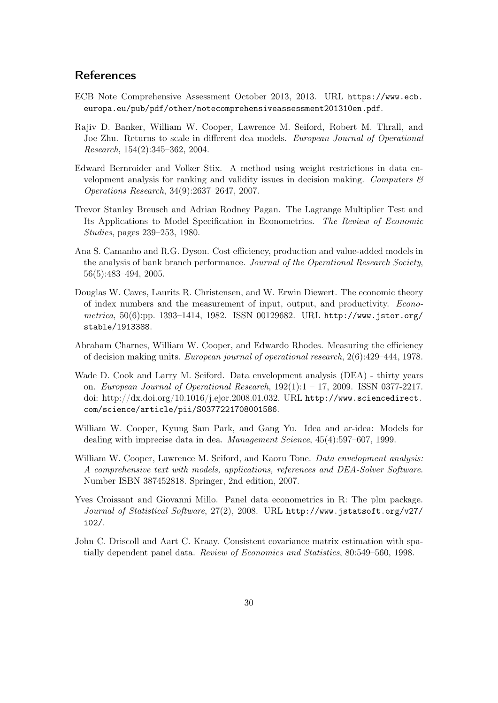## <span id="page-29-0"></span>**References**

- <span id="page-29-9"></span>ECB Note Comprehensive Assessment October 2013, 2013. URL [https://www.ecb.](https://www.ecb.europa.eu/pub/pdf/other/notecomprehensiveassessment201310en.pdf) [europa.eu/pub/pdf/other/notecomprehensiveassessment201310en.pdf](https://www.ecb.europa.eu/pub/pdf/other/notecomprehensiveassessment201310en.pdf).
- <span id="page-29-5"></span>Rajiv D. Banker, William W. Cooper, Lawrence M. Seiford, Robert M. Thrall, and Joe Zhu. Returns to scale in different dea models. European Journal of Operational Research, 154(2):345–362, 2004.
- <span id="page-29-7"></span>Edward Bernroider and Volker Stix. A method using weight restrictions in data envelopment analysis for ranking and validity issues in decision making. Computers  $\mathcal{C}$ Operations Research, 34(9):2637–2647, 2007.
- <span id="page-29-12"></span>Trevor Stanley Breusch and Adrian Rodney Pagan. The Lagrange Multiplier Test and Its Applications to Model Specification in Econometrics. The Review of Economic Studies, pages 239–253, 1980.
- <span id="page-29-4"></span>Ana S. Camanho and R.G. Dyson. Cost efficiency, production and value-added models in the analysis of bank branch performance. Journal of the Operational Research Society, 56(5):483–494, 2005.
- <span id="page-29-8"></span>Douglas W. Caves, Laurits R. Christensen, and W. Erwin Diewert. The economic theory of index numbers and the measurement of input, output, and productivity. Econometrica, 50(6):pp. 1393–1414, 1982. ISSN 00129682. URL [http://www.jstor.org/](http://www.jstor.org/stable/1913388) [stable/1913388](http://www.jstor.org/stable/1913388).
- <span id="page-29-1"></span>Abraham Charnes, William W. Cooper, and Edwardo Rhodes. Measuring the efficiency of decision making units. European journal of operational research, 2(6):429–444, 1978.
- <span id="page-29-2"></span>Wade D. Cook and Larry M. Seiford. Data envelopment analysis (DEA) - thirty years on. European Journal of Operational Research, 192(1):1 – 17, 2009. ISSN 0377-2217. doi: http://dx.doi.org/10.1016/j.ejor.2008.01.032. URL [http://www.sciencedirect.](http://www.sciencedirect.com/science/article/pii/S0377221708001586) [com/science/article/pii/S0377221708001586](http://www.sciencedirect.com/science/article/pii/S0377221708001586).
- <span id="page-29-6"></span>William W. Cooper, Kyung Sam Park, and Gang Yu. Idea and ar-idea: Models for dealing with imprecise data in dea. Management Science, 45(4):597–607, 1999.
- <span id="page-29-3"></span>William W. Cooper, Lawrence M. Seiford, and Kaoru Tone. Data envelopment analysis: A comprehensive text with models, applications, references and DEA-Solver Software. Number ISBN 387452818. Springer, 2nd edition, 2007.
- <span id="page-29-11"></span>Yves Croissant and Giovanni Millo. Panel data econometrics in R: The plm package. Journal of Statistical Software, 27(2), 2008. URL [http://www.jstatsoft.org/v27/](http://www.jstatsoft.org/v27/i02/) [i02/](http://www.jstatsoft.org/v27/i02/).
- <span id="page-29-10"></span>John C. Driscoll and Aart C. Kraay. Consistent covariance matrix estimation with spatially dependent panel data. Review of Economics and Statistics, 80:549–560, 1998.